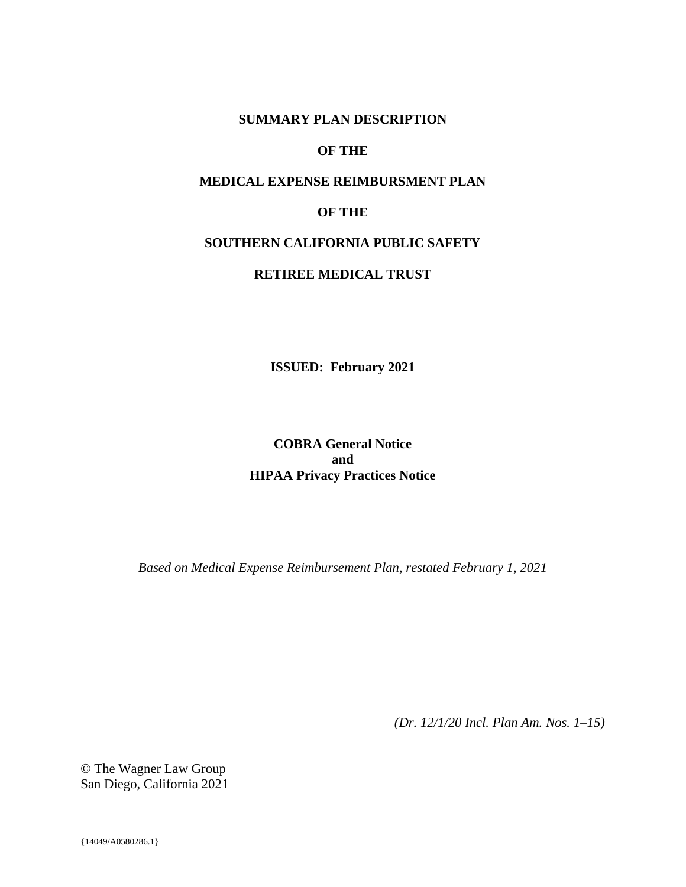### **SUMMARY PLAN DESCRIPTION**

# **OF THE**

# **MEDICAL EXPENSE REIMBURSMENT PLAN**

# **OF THE**

### **SOUTHERN CALIFORNIA PUBLIC SAFETY**

### **RETIREE MEDICAL TRUST**

**ISSUED: February 2021**

**COBRA General Notice and HIPAA Privacy Practices Notice**

*Based on Medical Expense Reimbursement Plan, restated February 1, 2021*

*(Dr. 12/1/20 Incl. Plan Am. Nos. 1–15)*

© The Wagner Law Group San Diego, California 2021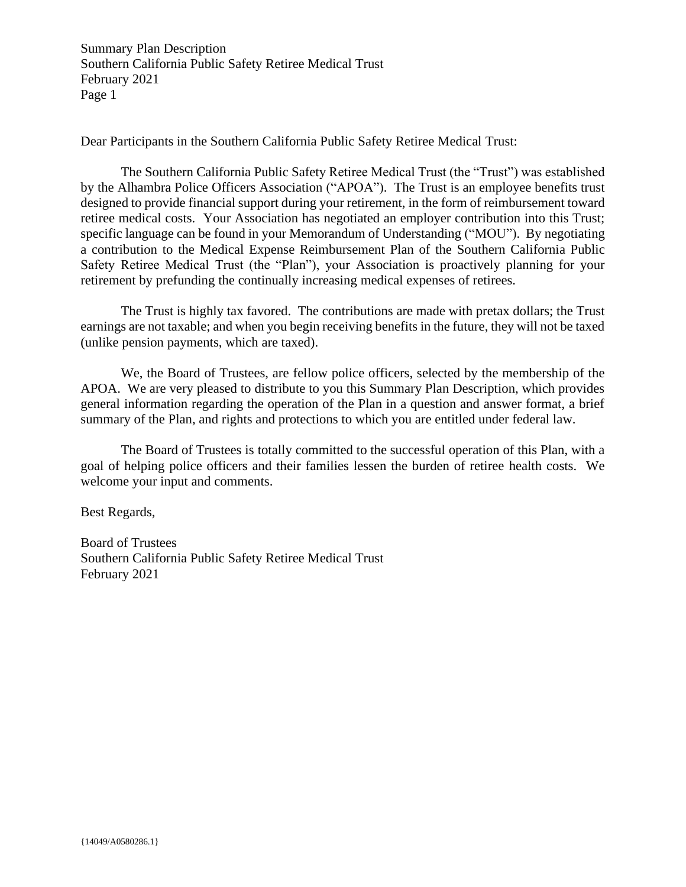Dear Participants in the Southern California Public Safety Retiree Medical Trust:

The Southern California Public Safety Retiree Medical Trust (the "Trust") was established by the Alhambra Police Officers Association ("APOA"). The Trust is an employee benefits trust designed to provide financial support during your retirement, in the form of reimbursement toward retiree medical costs. Your Association has negotiated an employer contribution into this Trust; specific language can be found in your Memorandum of Understanding ("MOU"). By negotiating a contribution to the Medical Expense Reimbursement Plan of the Southern California Public Safety Retiree Medical Trust (the "Plan"), your Association is proactively planning for your retirement by prefunding the continually increasing medical expenses of retirees.

The Trust is highly tax favored. The contributions are made with pretax dollars; the Trust earnings are not taxable; and when you begin receiving benefits in the future, they will not be taxed (unlike pension payments, which are taxed).

We, the Board of Trustees, are fellow police officers, selected by the membership of the APOA. We are very pleased to distribute to you this Summary Plan Description, which provides general information regarding the operation of the Plan in a question and answer format, a brief summary of the Plan, and rights and protections to which you are entitled under federal law.

The Board of Trustees is totally committed to the successful operation of this Plan, with a goal of helping police officers and their families lessen the burden of retiree health costs. We welcome your input and comments.

Best Regards,

Board of Trustees Southern California Public Safety Retiree Medical Trust February 2021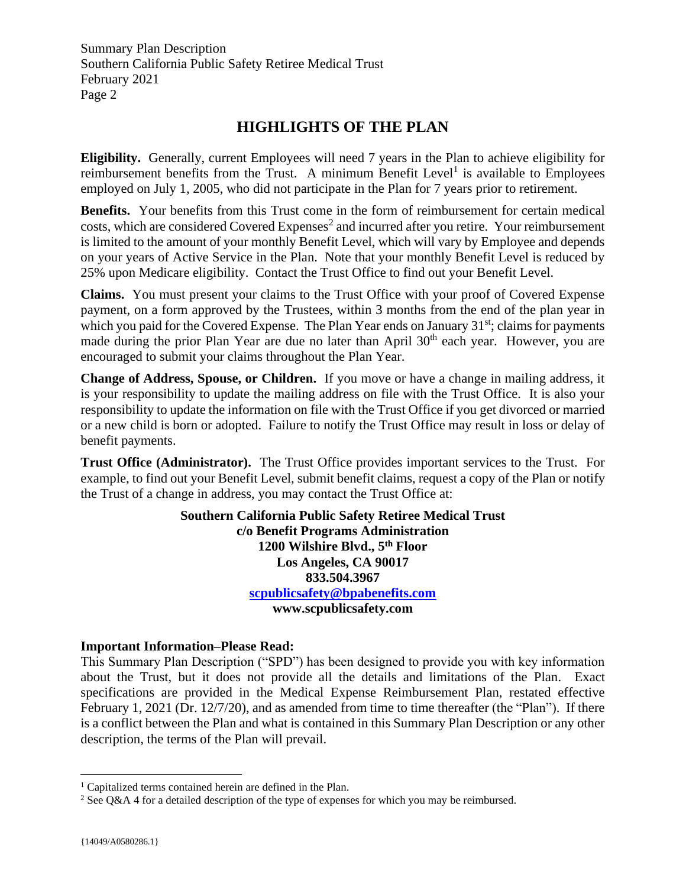# **HIGHLIGHTS OF THE PLAN**

**Eligibility.** Generally, current Employees will need 7 years in the Plan to achieve eligibility for reimbursement benefits from the Trust. A minimum Benefit Level<sup>1</sup> is available to Employees employed on July 1, 2005, who did not participate in the Plan for 7 years prior to retirement.

**Benefits.** Your benefits from this Trust come in the form of reimbursement for certain medical  $costs$ , which are considered Covered Expenses<sup>2</sup> and incurred after you retire. Your reimbursement is limited to the amount of your monthly Benefit Level, which will vary by Employee and depends on your years of Active Service in the Plan. Note that your monthly Benefit Level is reduced by 25% upon Medicare eligibility. Contact the Trust Office to find out your Benefit Level.

**Claims.** You must present your claims to the Trust Office with your proof of Covered Expense payment, on a form approved by the Trustees, within 3 months from the end of the plan year in which you paid for the Covered Expense. The Plan Year ends on January 31<sup>st</sup>; claims for payments made during the prior Plan Year are due no later than April 30<sup>th</sup> each year. However, you are encouraged to submit your claims throughout the Plan Year.

**Change of Address, Spouse, or Children.** If you move or have a change in mailing address, it is your responsibility to update the mailing address on file with the Trust Office. It is also your responsibility to update the information on file with the Trust Office if you get divorced or married or a new child is born or adopted. Failure to notify the Trust Office may result in loss or delay of benefit payments.

**Trust Office (Administrator).** The Trust Office provides important services to the Trust. For example, to find out your Benefit Level, submit benefit claims, request a copy of the Plan or notify the Trust of a change in address, you may contact the Trust Office at:

> **Southern California Public Safety Retiree Medical Trust c/o Benefit Programs Administration 1200 Wilshire Blvd., 5th Floor Los Angeles, CA 90017 833.504.3967 [scpublicsafety@bpabenefits.com](mailto:scpublicsafety@bpabenefits.com) www.scpublicsafety.com**

## **Important Information–Please Read:**

This Summary Plan Description ("SPD") has been designed to provide you with key information about the Trust, but it does not provide all the details and limitations of the Plan. Exact specifications are provided in the Medical Expense Reimbursement Plan, restated effective February 1, 2021 (Dr. 12/7/20), and as amended from time to time thereafter (the "Plan"). If there is a conflict between the Plan and what is contained in this Summary Plan Description or any other description, the terms of the Plan will prevail.

<sup>&</sup>lt;sup>1</sup> Capitalized terms contained herein are defined in the Plan.

<sup>&</sup>lt;sup>2</sup> See Q&A 4 for a detailed description of the type of expenses for which you may be reimbursed.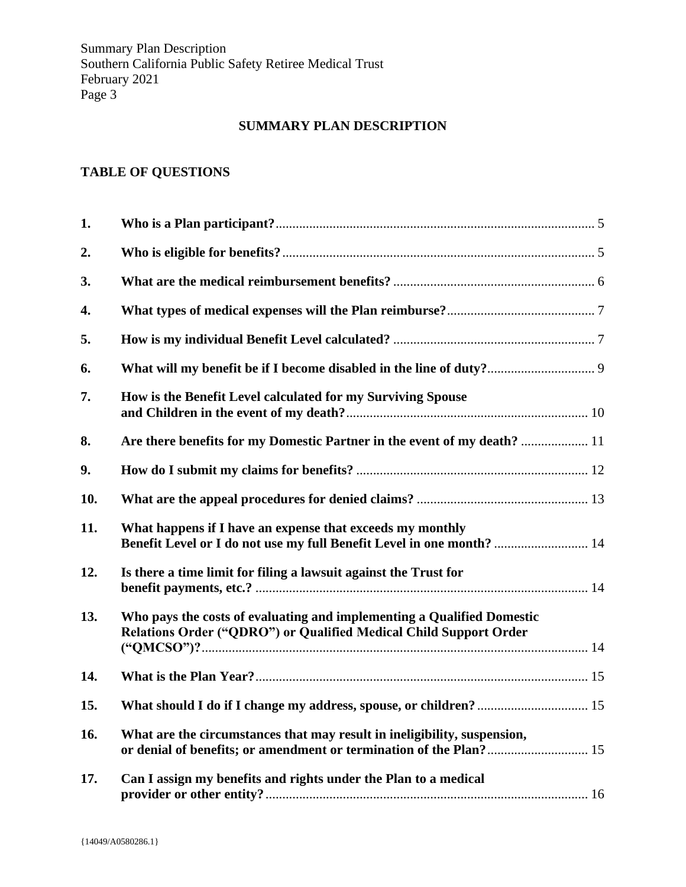# **SUMMARY PLAN DESCRIPTION**

# **TABLE OF QUESTIONS**

| 1.  |                                                                                                                                                |  |
|-----|------------------------------------------------------------------------------------------------------------------------------------------------|--|
| 2.  |                                                                                                                                                |  |
| 3.  |                                                                                                                                                |  |
| 4.  |                                                                                                                                                |  |
| 5.  |                                                                                                                                                |  |
| 6.  |                                                                                                                                                |  |
| 7.  | How is the Benefit Level calculated for my Surviving Spouse                                                                                    |  |
| 8.  | Are there benefits for my Domestic Partner in the event of my death?  11                                                                       |  |
| 9.  |                                                                                                                                                |  |
| 10. |                                                                                                                                                |  |
| 11. | What happens if I have an expense that exceeds my monthly<br>Benefit Level or I do not use my full Benefit Level in one month?  14             |  |
| 12. | Is there a time limit for filing a lawsuit against the Trust for                                                                               |  |
| 13. | Who pays the costs of evaluating and implementing a Qualified Domestic<br>Relations Order ("QDRO") or Qualified Medical Child Support Order    |  |
| 14. |                                                                                                                                                |  |
| 15. |                                                                                                                                                |  |
| 16. | What are the circumstances that may result in ineligibility, suspension,<br>or denial of benefits; or amendment or termination of the Plan? 15 |  |
| 17. | Can I assign my benefits and rights under the Plan to a medical                                                                                |  |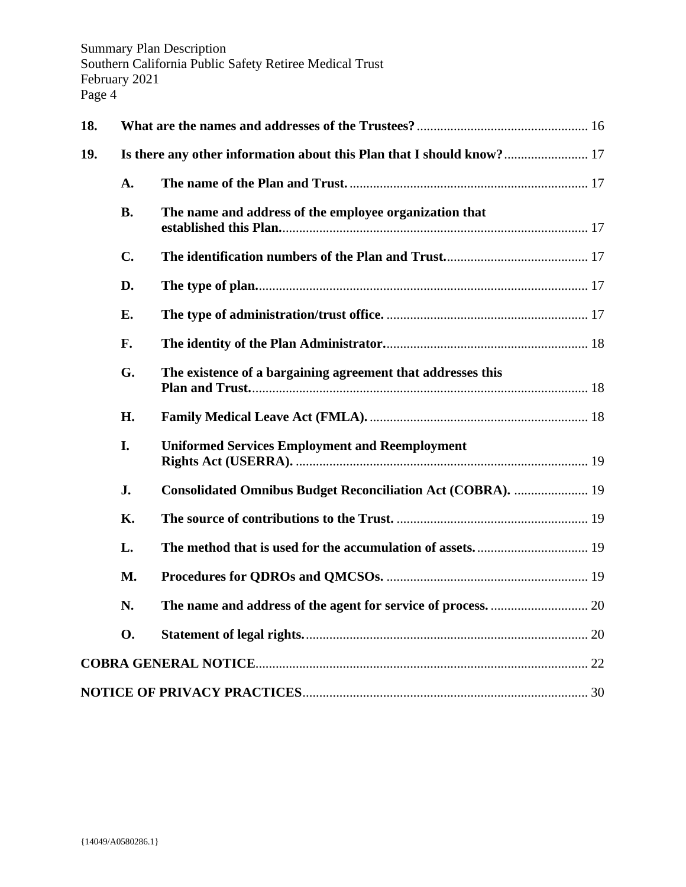| 18. |                                                                       |                                                             |  |
|-----|-----------------------------------------------------------------------|-------------------------------------------------------------|--|
| 19. | Is there any other information about this Plan that I should know? 17 |                                                             |  |
|     | A.                                                                    |                                                             |  |
|     | <b>B.</b>                                                             | The name and address of the employee organization that      |  |
|     | $\mathbf{C}$ .                                                        |                                                             |  |
|     | D.                                                                    |                                                             |  |
|     | Е.                                                                    |                                                             |  |
|     | F.                                                                    |                                                             |  |
|     | G.                                                                    | The existence of a bargaining agreement that addresses this |  |
|     | H.                                                                    |                                                             |  |
|     | I.                                                                    | <b>Uniformed Services Employment and Reemployment</b>       |  |
|     | J.                                                                    | Consolidated Omnibus Budget Reconciliation Act (COBRA).  19 |  |
|     | <b>K.</b>                                                             |                                                             |  |
|     | L.                                                                    |                                                             |  |
|     | M.                                                                    |                                                             |  |
|     | N.                                                                    |                                                             |  |
|     | <b>O.</b>                                                             |                                                             |  |
|     |                                                                       |                                                             |  |
|     |                                                                       |                                                             |  |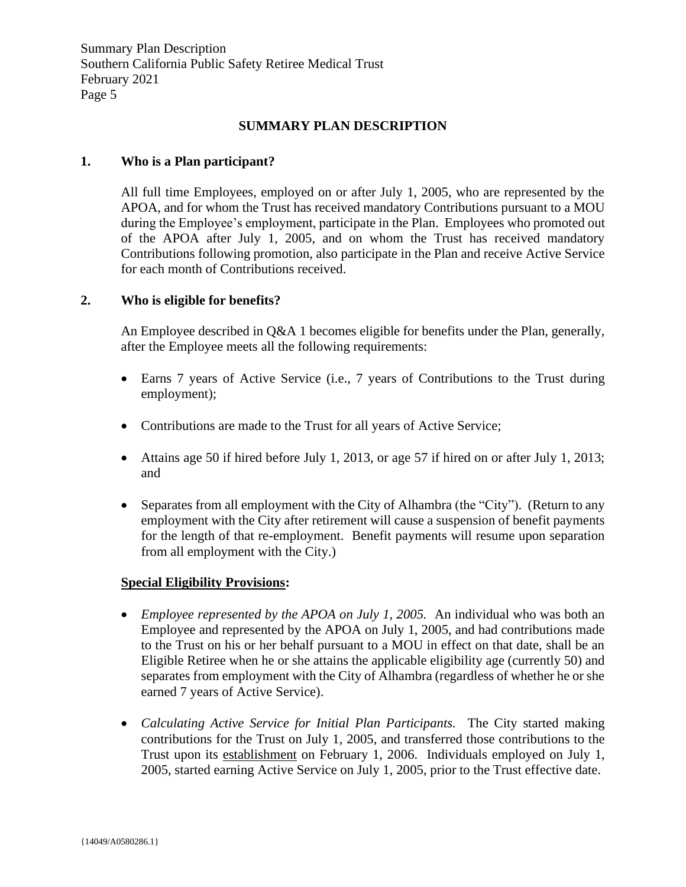# **SUMMARY PLAN DESCRIPTION**

#### <span id="page-5-0"></span>**1. Who is a Plan participant?**

All full time Employees, employed on or after July 1, 2005, who are represented by the APOA, and for whom the Trust has received mandatory Contributions pursuant to a MOU during the Employee's employment, participate in the Plan. Employees who promoted out of the APOA after July 1, 2005, and on whom the Trust has received mandatory Contributions following promotion, also participate in the Plan and receive Active Service for each month of Contributions received.

#### <span id="page-5-1"></span>**2. Who is eligible for benefits?**

An Employee described in Q&A 1 becomes eligible for benefits under the Plan, generally, after the Employee meets all the following requirements:

- Earns 7 years of Active Service (i.e., 7 years of Contributions to the Trust during employment);
- Contributions are made to the Trust for all years of Active Service;
- Attains age 50 if hired before July 1, 2013, or age 57 if hired on or after July 1, 2013; and
- Separates from all employment with the City of Alhambra (the "City"). (Return to any employment with the City after retirement will cause a suspension of benefit payments for the length of that re-employment. Benefit payments will resume upon separation from all employment with the City.)

#### **Special Eligibility Provisions:**

- *Employee represented by the APOA on July 1, 2005.* An individual who was both an Employee and represented by the APOA on July 1, 2005, and had contributions made to the Trust on his or her behalf pursuant to a MOU in effect on that date, shall be an Eligible Retiree when he or she attains the applicable eligibility age (currently 50) and separates from employment with the City of Alhambra (regardless of whether he or she earned 7 years of Active Service).
- *Calculating Active Service for Initial Plan Participants.* The City started making contributions for the Trust on July 1, 2005, and transferred those contributions to the Trust upon its establishment on February 1, 2006. Individuals employed on July 1, 2005, started earning Active Service on July 1, 2005, prior to the Trust effective date.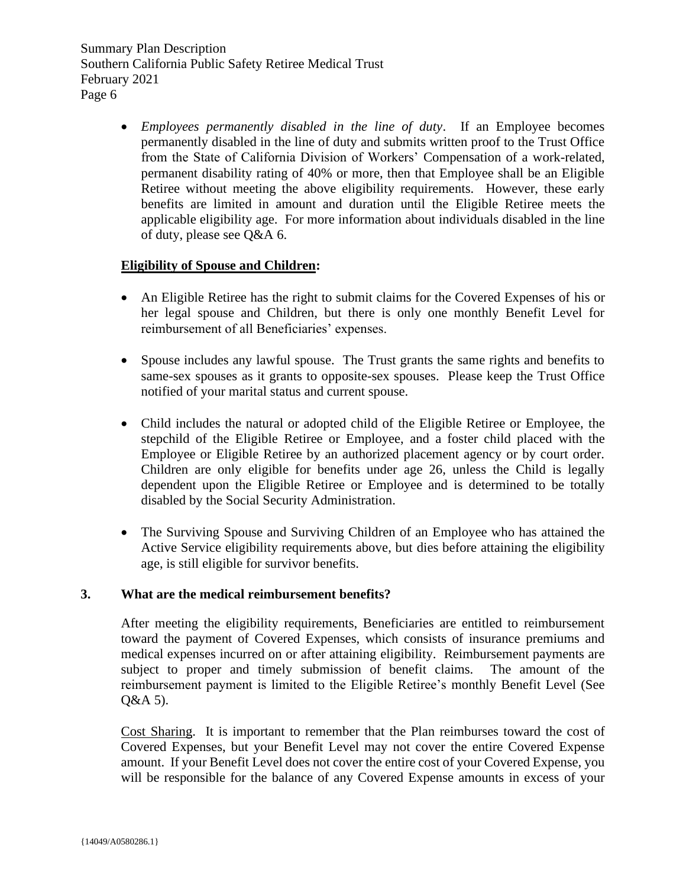> • *Employees permanently disabled in the line of duty*.If an Employee becomes permanently disabled in the line of duty and submits written proof to the Trust Office from the State of California Division of Workers' Compensation of a work-related, permanent disability rating of 40% or more, then that Employee shall be an Eligible Retiree without meeting the above eligibility requirements. However, these early benefits are limited in amount and duration until the Eligible Retiree meets the applicable eligibility age. For more information about individuals disabled in the line of duty, please see Q&A 6.

## **Eligibility of Spouse and Children:**

- An Eligible Retiree has the right to submit claims for the Covered Expenses of his or her legal spouse and Children, but there is only one monthly Benefit Level for reimbursement of all Beneficiaries' expenses.
- Spouse includes any lawful spouse. The Trust grants the same rights and benefits to same-sex spouses as it grants to opposite-sex spouses. Please keep the Trust Office notified of your marital status and current spouse.
- Child includes the natural or adopted child of the Eligible Retiree or Employee, the stepchild of the Eligible Retiree or Employee, and a foster child placed with the Employee or Eligible Retiree by an authorized placement agency or by court order. Children are only eligible for benefits under age 26, unless the Child is legally dependent upon the Eligible Retiree or Employee and is determined to be totally disabled by the Social Security Administration.
- The Surviving Spouse and Surviving Children of an Employee who has attained the Active Service eligibility requirements above, but dies before attaining the eligibility age, is still eligible for survivor benefits.

#### <span id="page-6-0"></span>**3. What are the medical reimbursement benefits?**

After meeting the eligibility requirements, Beneficiaries are entitled to reimbursement toward the payment of Covered Expenses, which consists of insurance premiums and medical expenses incurred on or after attaining eligibility. Reimbursement payments are subject to proper and timely submission of benefit claims. The amount of the reimbursement payment is limited to the Eligible Retiree's monthly Benefit Level (See Q&A 5).

Cost Sharing. It is important to remember that the Plan reimburses toward the cost of Covered Expenses, but your Benefit Level may not cover the entire Covered Expense amount. If your Benefit Level does not cover the entire cost of your Covered Expense, you will be responsible for the balance of any Covered Expense amounts in excess of your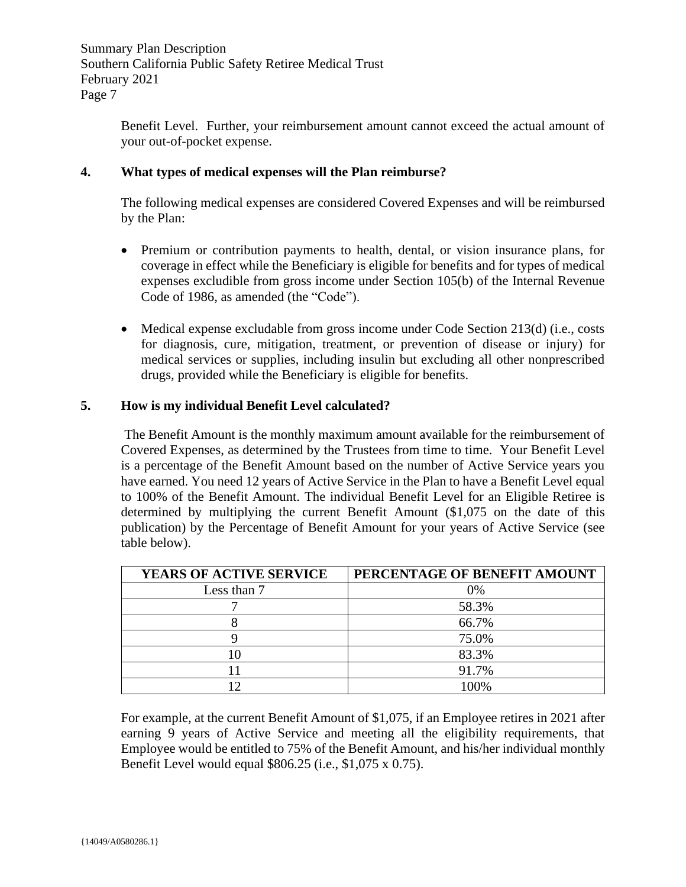Benefit Level. Further, your reimbursement amount cannot exceed the actual amount of your out-of-pocket expense.

# <span id="page-7-0"></span>**4. What types of medical expenses will the Plan reimburse?**

The following medical expenses are considered Covered Expenses and will be reimbursed by the Plan:

- Premium or contribution payments to health, dental, or vision insurance plans, for coverage in effect while the Beneficiary is eligible for benefits and for types of medical expenses excludible from gross income under Section 105(b) of the Internal Revenue Code of 1986, as amended (the "Code").
- Medical expense excludable from gross income under Code Section 213(d) (i.e., costs for diagnosis, cure, mitigation, treatment, or prevention of disease or injury) for medical services or supplies, including insulin but excluding all other nonprescribed drugs, provided while the Beneficiary is eligible for benefits.

# <span id="page-7-1"></span>**5. How is my individual Benefit Level calculated?**

The Benefit Amount is the monthly maximum amount available for the reimbursement of Covered Expenses, as determined by the Trustees from time to time. Your Benefit Level is a percentage of the Benefit Amount based on the number of Active Service years you have earned. You need 12 years of Active Service in the Plan to have a Benefit Level equal to 100% of the Benefit Amount. The individual Benefit Level for an Eligible Retiree is determined by multiplying the current Benefit Amount (\$1,075 on the date of this publication) by the Percentage of Benefit Amount for your years of Active Service (see table below).

| <b>YEARS OF ACTIVE SERVICE</b> | PERCENTAGE OF BENEFIT AMOUNT |
|--------------------------------|------------------------------|
| Less than 7                    | 0%                           |
|                                | 58.3%                        |
|                                | 66.7%                        |
|                                | 75.0%                        |
|                                | 83.3%                        |
|                                | 91.7%                        |
|                                | 100%                         |

For example, at the current Benefit Amount of \$1,075, if an Employee retires in 2021 after earning 9 years of Active Service and meeting all the eligibility requirements, that Employee would be entitled to 75% of the Benefit Amount, and his/her individual monthly Benefit Level would equal \$806.25 (i.e., \$1,075 x 0.75).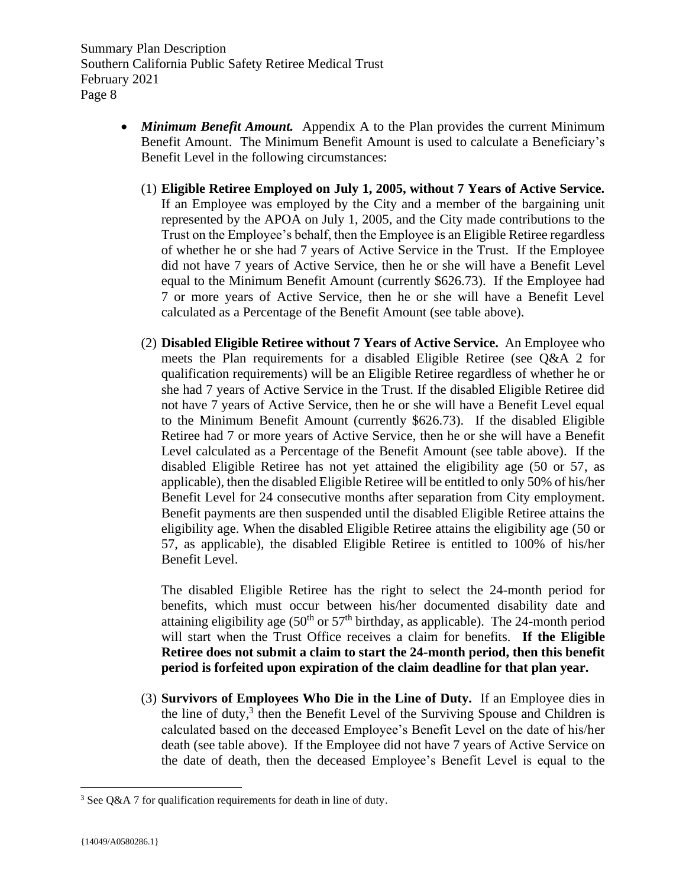- *Minimum Benefit Amount.* Appendix A to the Plan provides the current Minimum Benefit Amount. The Minimum Benefit Amount is used to calculate a Beneficiary's Benefit Level in the following circumstances:
	- (1) **Eligible Retiree Employed on July 1, 2005, without 7 Years of Active Service.**  If an Employee was employed by the City and a member of the bargaining unit represented by the APOA on July 1, 2005, and the City made contributions to the Trust on the Employee's behalf, then the Employee is an Eligible Retiree regardless of whether he or she had 7 years of Active Service in the Trust. If the Employee did not have 7 years of Active Service, then he or she will have a Benefit Level equal to the Minimum Benefit Amount (currently \$626.73). If the Employee had 7 or more years of Active Service, then he or she will have a Benefit Level calculated as a Percentage of the Benefit Amount (see table above).
	- (2) **Disabled Eligible Retiree without 7 Years of Active Service.** An Employee who meets the Plan requirements for a disabled Eligible Retiree (see Q&A 2 for qualification requirements) will be an Eligible Retiree regardless of whether he or she had 7 years of Active Service in the Trust. If the disabled Eligible Retiree did not have 7 years of Active Service, then he or she will have a Benefit Level equal to the Minimum Benefit Amount (currently \$626.73). If the disabled Eligible Retiree had 7 or more years of Active Service, then he or she will have a Benefit Level calculated as a Percentage of the Benefit Amount (see table above). If the disabled Eligible Retiree has not yet attained the eligibility age (50 or 57, as applicable), then the disabled Eligible Retiree will be entitled to only 50% of his/her Benefit Level for 24 consecutive months after separation from City employment. Benefit payments are then suspended until the disabled Eligible Retiree attains the eligibility age. When the disabled Eligible Retiree attains the eligibility age (50 or 57, as applicable), the disabled Eligible Retiree is entitled to 100% of his/her Benefit Level.

The disabled Eligible Retiree has the right to select the 24-month period for benefits, which must occur between his/her documented disability date and attaining eligibility age  $(50<sup>th</sup>$  or  $57<sup>th</sup>$  birthday, as applicable). The 24-month period will start when the Trust Office receives a claim for benefits. **If the Eligible Retiree does not submit a claim to start the 24-month period, then this benefit period is forfeited upon expiration of the claim deadline for that plan year.**

(3) **Survivors of Employees Who Die in the Line of Duty.** If an Employee dies in the line of duty,<sup>3</sup> then the Benefit Level of the Surviving Spouse and Children is calculated based on the deceased Employee's Benefit Level on the date of his/her death (see table above). If the Employee did not have 7 years of Active Service on the date of death, then the deceased Employee's Benefit Level is equal to the

<sup>&</sup>lt;sup>3</sup> See Q&A 7 for qualification requirements for death in line of duty.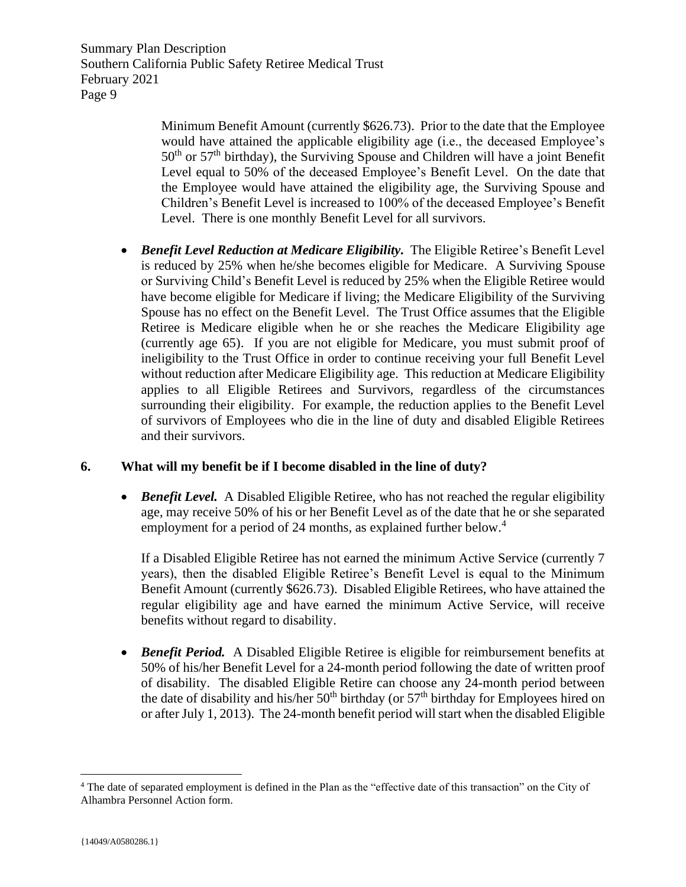> Minimum Benefit Amount (currently \$626.73). Prior to the date that the Employee would have attained the applicable eligibility age (i.e., the deceased Employee's  $50<sup>th</sup>$  or  $57<sup>th</sup>$  birthday), the Surviving Spouse and Children will have a joint Benefit Level equal to 50% of the deceased Employee's Benefit Level. On the date that the Employee would have attained the eligibility age, the Surviving Spouse and Children's Benefit Level is increased to 100% of the deceased Employee's Benefit Level. There is one monthly Benefit Level for all survivors.

• *Benefit Level Reduction at Medicare Eligibility.* The Eligible Retiree's Benefit Level is reduced by 25% when he/she becomes eligible for Medicare. A Surviving Spouse or Surviving Child's Benefit Level is reduced by 25% when the Eligible Retiree would have become eligible for Medicare if living; the Medicare Eligibility of the Surviving Spouse has no effect on the Benefit Level. The Trust Office assumes that the Eligible Retiree is Medicare eligible when he or she reaches the Medicare Eligibility age (currently age 65). If you are not eligible for Medicare, you must submit proof of ineligibility to the Trust Office in order to continue receiving your full Benefit Level without reduction after Medicare Eligibility age. This reduction at Medicare Eligibility applies to all Eligible Retirees and Survivors, regardless of the circumstances surrounding their eligibility. For example, the reduction applies to the Benefit Level of survivors of Employees who die in the line of duty and disabled Eligible Retirees and their survivors.

# <span id="page-9-0"></span>**6. What will my benefit be if I become disabled in the line of duty?**

• *Benefit Level.* A Disabled Eligible Retiree, who has not reached the regular eligibility age, may receive 50% of his or her Benefit Level as of the date that he or she separated employment for a period of 24 months, as explained further below.<sup>4</sup>

If a Disabled Eligible Retiree has not earned the minimum Active Service (currently 7 years), then the disabled Eligible Retiree's Benefit Level is equal to the Minimum Benefit Amount (currently \$626.73). Disabled Eligible Retirees, who have attained the regular eligibility age and have earned the minimum Active Service, will receive benefits without regard to disability.

• *Benefit Period.* A Disabled Eligible Retiree is eligible for reimbursement benefits at 50% of his/her Benefit Level for a 24-month period following the date of written proof of disability. The disabled Eligible Retire can choose any 24-month period between the date of disability and his/her  $50<sup>th</sup>$  birthday (or  $57<sup>th</sup>$  birthday for Employees hired on or after July 1, 2013). The 24-month benefit period will start when the disabled Eligible

<sup>&</sup>lt;sup>4</sup> The date of separated employment is defined in the Plan as the "effective date of this transaction" on the City of Alhambra Personnel Action form.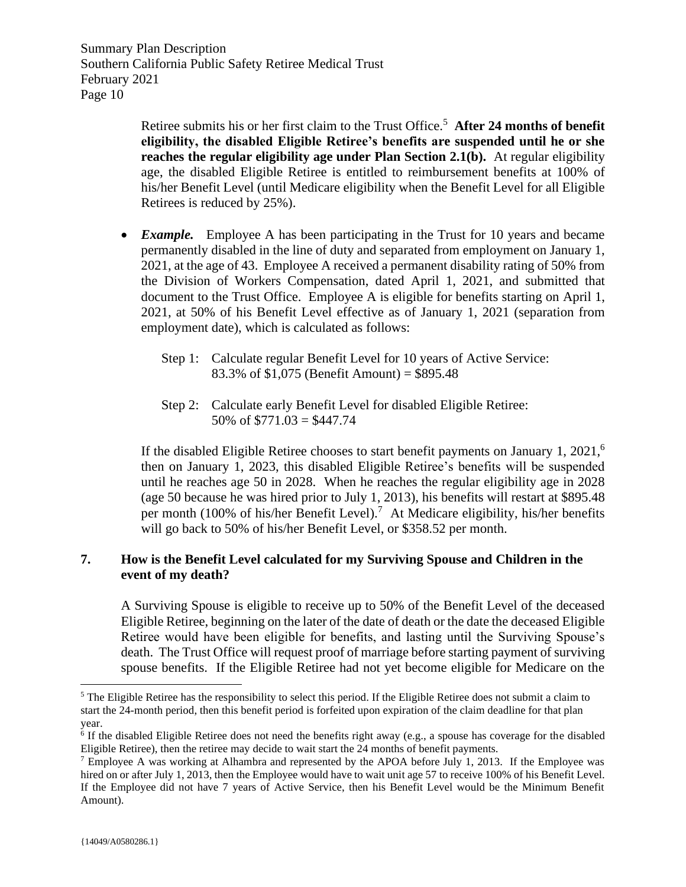> Retiree submits his or her first claim to the Trust Office.<sup>5</sup> After 24 months of benefit **eligibility, the disabled Eligible Retiree's benefits are suspended until he or she reaches the regular eligibility age under Plan Section 2.1(b).** At regular eligibility age, the disabled Eligible Retiree is entitled to reimbursement benefits at 100% of his/her Benefit Level (until Medicare eligibility when the Benefit Level for all Eligible Retirees is reduced by 25%).

- *Example.* Employee A has been participating in the Trust for 10 years and became permanently disabled in the line of duty and separated from employment on January 1, 2021, at the age of 43. Employee A received a permanent disability rating of 50% from the Division of Workers Compensation, dated April 1, 2021, and submitted that document to the Trust Office. Employee A is eligible for benefits starting on April 1, 2021, at 50% of his Benefit Level effective as of January 1, 2021 (separation from employment date), which is calculated as follows:
	- Step 1: Calculate regular Benefit Level for 10 years of Active Service: 83.3% of \$1,075 (Benefit Amount) = \$895.48
	- Step 2: Calculate early Benefit Level for disabled Eligible Retiree: 50% of  $$771.03 = $447.74$

If the disabled Eligible Retiree chooses to start benefit payments on January 1, 2021,<sup>6</sup> then on January 1, 2023, this disabled Eligible Retiree's benefits will be suspended until he reaches age 50 in 2028. When he reaches the regular eligibility age in 2028 (age 50 because he was hired prior to July 1, 2013), his benefits will restart at \$895.48 per month (100% of his/her Benefit Level).<sup>7</sup> At Medicare eligibility, his/her benefits will go back to 50% of his/her Benefit Level, or \$358.52 per month.

# <span id="page-10-0"></span>**7. How is the Benefit Level calculated for my Surviving Spouse and Children in the event of my death?**

A Surviving Spouse is eligible to receive up to 50% of the Benefit Level of the deceased Eligible Retiree, beginning on the later of the date of death or the date the deceased Eligible Retiree would have been eligible for benefits, and lasting until the Surviving Spouse's death. The Trust Office will request proof of marriage before starting payment of surviving spouse benefits. If the Eligible Retiree had not yet become eligible for Medicare on the

<sup>&</sup>lt;sup>5</sup> The Eligible Retiree has the responsibility to select this period. If the Eligible Retiree does not submit a claim to start the 24-month period, then this benefit period is forfeited upon expiration of the claim deadline for that plan year.

<sup>6</sup> If the disabled Eligible Retiree does not need the benefits right away (e.g., a spouse has coverage for the disabled Eligible Retiree), then the retiree may decide to wait start the 24 months of benefit payments.

<sup>&</sup>lt;sup>7</sup> Employee A was working at Alhambra and represented by the APOA before July 1, 2013. If the Employee was hired on or after July 1, 2013, then the Employee would have to wait unit age 57 to receive 100% of his Benefit Level. If the Employee did not have 7 years of Active Service, then his Benefit Level would be the Minimum Benefit Amount).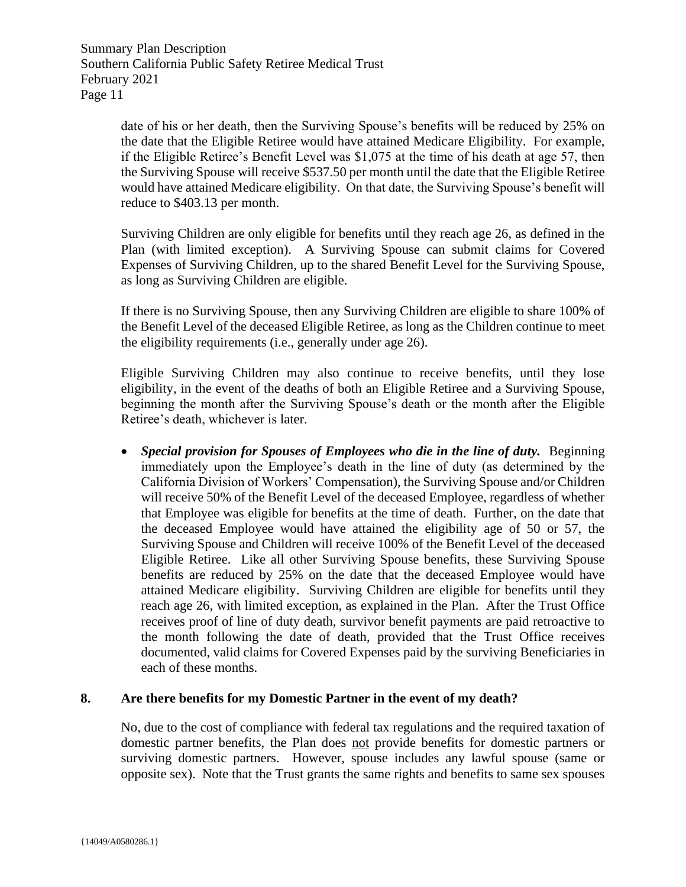> date of his or her death, then the Surviving Spouse's benefits will be reduced by 25% on the date that the Eligible Retiree would have attained Medicare Eligibility. For example, if the Eligible Retiree's Benefit Level was \$1,075 at the time of his death at age 57, then the Surviving Spouse will receive \$537.50 per month until the date that the Eligible Retiree would have attained Medicare eligibility. On that date, the Surviving Spouse's benefit will reduce to \$403.13 per month.

> Surviving Children are only eligible for benefits until they reach age 26, as defined in the Plan (with limited exception). A Surviving Spouse can submit claims for Covered Expenses of Surviving Children, up to the shared Benefit Level for the Surviving Spouse, as long as Surviving Children are eligible.

> If there is no Surviving Spouse, then any Surviving Children are eligible to share 100% of the Benefit Level of the deceased Eligible Retiree, as long as the Children continue to meet the eligibility requirements (i.e., generally under age 26).

> Eligible Surviving Children may also continue to receive benefits, until they lose eligibility, in the event of the deaths of both an Eligible Retiree and a Surviving Spouse, beginning the month after the Surviving Spouse's death or the month after the Eligible Retiree's death, whichever is later.

> • *Special provision for Spouses of Employees who die in the line of duty.* Beginning immediately upon the Employee's death in the line of duty (as determined by the California Division of Workers' Compensation), the Surviving Spouse and/or Children will receive 50% of the Benefit Level of the deceased Employee, regardless of whether that Employee was eligible for benefits at the time of death. Further, on the date that the deceased Employee would have attained the eligibility age of 50 or 57, the Surviving Spouse and Children will receive 100% of the Benefit Level of the deceased Eligible Retiree. Like all other Surviving Spouse benefits, these Surviving Spouse benefits are reduced by 25% on the date that the deceased Employee would have attained Medicare eligibility. Surviving Children are eligible for benefits until they reach age 26, with limited exception, as explained in the Plan. After the Trust Office receives proof of line of duty death, survivor benefit payments are paid retroactive to the month following the date of death, provided that the Trust Office receives documented, valid claims for Covered Expenses paid by the surviving Beneficiaries in each of these months.

## <span id="page-11-0"></span>**8. Are there benefits for my Domestic Partner in the event of my death?**

No, due to the cost of compliance with federal tax regulations and the required taxation of domestic partner benefits, the Plan does not provide benefits for domestic partners or surviving domestic partners. However, spouse includes any lawful spouse (same or opposite sex). Note that the Trust grants the same rights and benefits to same sex spouses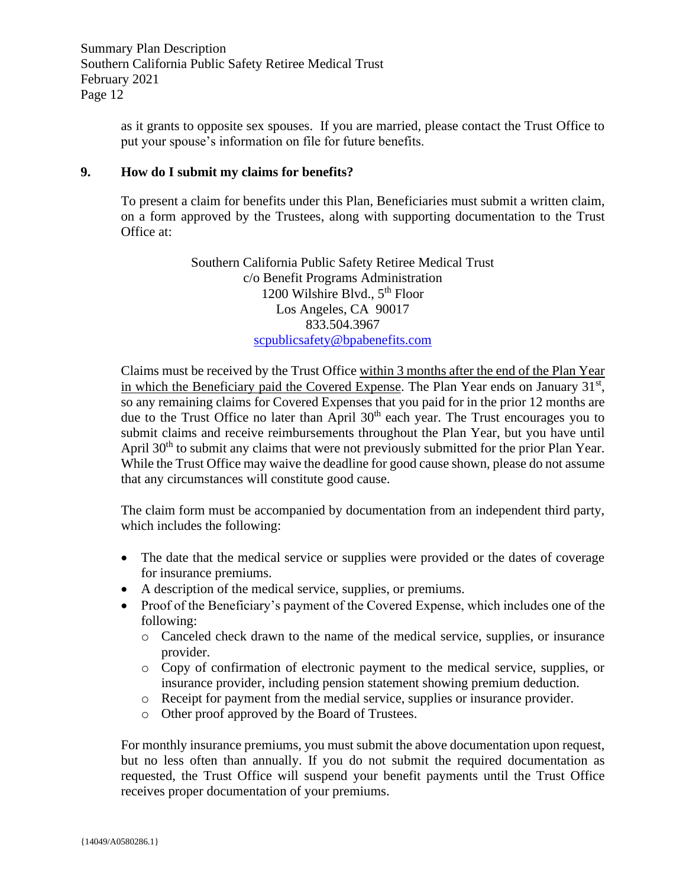> as it grants to opposite sex spouses. If you are married, please contact the Trust Office to put your spouse's information on file for future benefits.

### <span id="page-12-0"></span>**9. How do I submit my claims for benefits?**

To present a claim for benefits under this Plan, Beneficiaries must submit a written claim, on a form approved by the Trustees, along with supporting documentation to the Trust Office at:

> Southern California Public Safety Retiree Medical Trust c/o Benefit Programs Administration 1200 Wilshire Blvd., 5<sup>th</sup> Floor Los Angeles, CA 90017 833.504.3967 [scpublicsafety@bpabenefits.com](mailto:scpublicsafety@bpabenefits.com)

Claims must be received by the Trust Office within 3 months after the end of the Plan Year in which the Beneficiary paid the Covered Expense. The Plan Year ends on January  $31<sup>st</sup>$ , so any remaining claims for Covered Expenses that you paid for in the prior 12 months are due to the Trust Office no later than April 30<sup>th</sup> each year. The Trust encourages you to submit claims and receive reimbursements throughout the Plan Year, but you have until April 30<sup>th</sup> to submit any claims that were not previously submitted for the prior Plan Year. While the Trust Office may waive the deadline for good cause shown, please do not assume that any circumstances will constitute good cause.

The claim form must be accompanied by documentation from an independent third party, which includes the following:

- The date that the medical service or supplies were provided or the dates of coverage for insurance premiums.
- A description of the medical service, supplies, or premiums.
- Proof of the Beneficiary's payment of the Covered Expense, which includes one of the following:
	- o Canceled check drawn to the name of the medical service, supplies, or insurance provider.
	- o Copy of confirmation of electronic payment to the medical service, supplies, or insurance provider, including pension statement showing premium deduction.
	- o Receipt for payment from the medial service, supplies or insurance provider.
	- o Other proof approved by the Board of Trustees.

For monthly insurance premiums, you must submit the above documentation upon request, but no less often than annually. If you do not submit the required documentation as requested, the Trust Office will suspend your benefit payments until the Trust Office receives proper documentation of your premiums.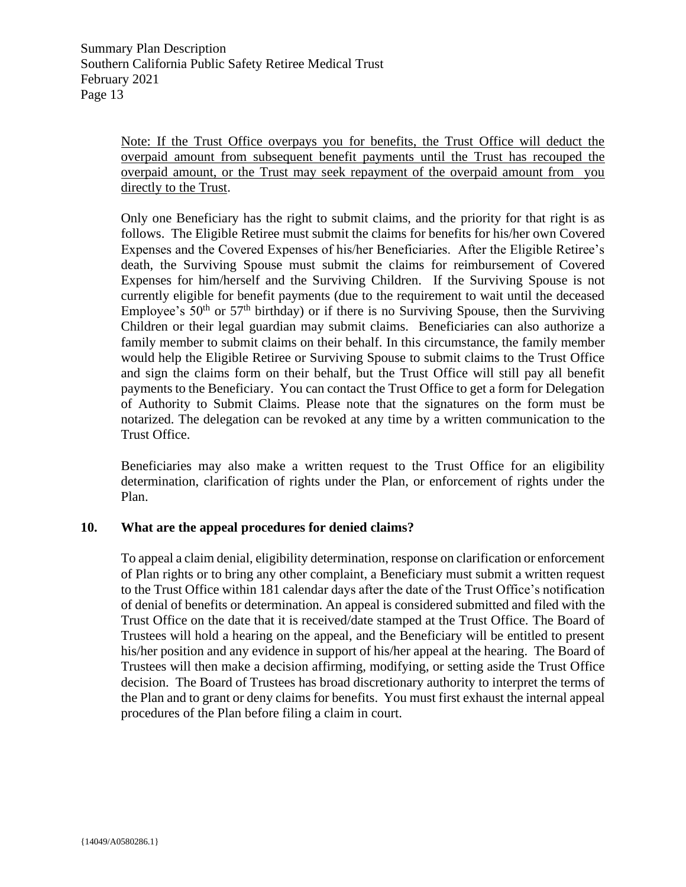Note: If the Trust Office overpays you for benefits, the Trust Office will deduct the overpaid amount from subsequent benefit payments until the Trust has recouped the overpaid amount, or the Trust may seek repayment of the overpaid amount from you directly to the Trust.

Only one Beneficiary has the right to submit claims, and the priority for that right is as follows. The Eligible Retiree must submit the claims for benefits for his/her own Covered Expenses and the Covered Expenses of his/her Beneficiaries. After the Eligible Retiree's death, the Surviving Spouse must submit the claims for reimbursement of Covered Expenses for him/herself and the Surviving Children. If the Surviving Spouse is not currently eligible for benefit payments (due to the requirement to wait until the deceased Employee's  $50<sup>th</sup>$  or  $57<sup>th</sup>$  birthday) or if there is no Surviving Spouse, then the Surviving Children or their legal guardian may submit claims. Beneficiaries can also authorize a family member to submit claims on their behalf. In this circumstance, the family member would help the Eligible Retiree or Surviving Spouse to submit claims to the Trust Office and sign the claims form on their behalf, but the Trust Office will still pay all benefit payments to the Beneficiary. You can contact the Trust Office to get a form for Delegation of Authority to Submit Claims. Please note that the signatures on the form must be notarized. The delegation can be revoked at any time by a written communication to the Trust Office.

Beneficiaries may also make a written request to the Trust Office for an eligibility determination, clarification of rights under the Plan, or enforcement of rights under the Plan.

## <span id="page-13-0"></span>**10. What are the appeal procedures for denied claims?**

To appeal a claim denial, eligibility determination, response on clarification or enforcement of Plan rights or to bring any other complaint, a Beneficiary must submit a written request to the Trust Office within 181 calendar days after the date of the Trust Office's notification of denial of benefits or determination. An appeal is considered submitted and filed with the Trust Office on the date that it is received/date stamped at the Trust Office. The Board of Trustees will hold a hearing on the appeal, and the Beneficiary will be entitled to present his/her position and any evidence in support of his/her appeal at the hearing. The Board of Trustees will then make a decision affirming, modifying, or setting aside the Trust Office decision. The Board of Trustees has broad discretionary authority to interpret the terms of the Plan and to grant or deny claims for benefits. You must first exhaust the internal appeal procedures of the Plan before filing a claim in court.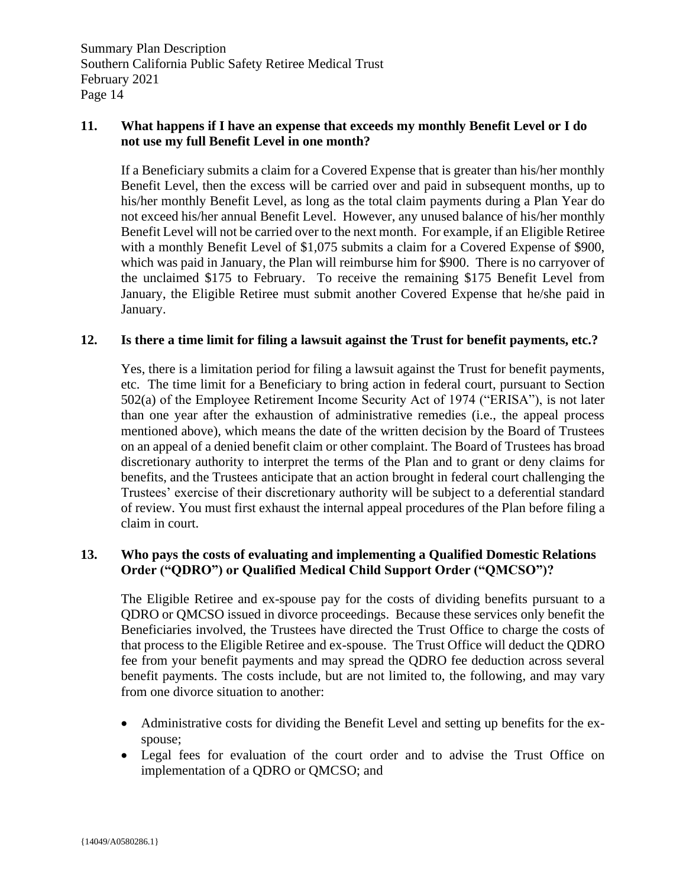# <span id="page-14-0"></span>**11. What happens if I have an expense that exceeds my monthly Benefit Level or I do not use my full Benefit Level in one month?**

If a Beneficiary submits a claim for a Covered Expense that is greater than his/her monthly Benefit Level, then the excess will be carried over and paid in subsequent months, up to his/her monthly Benefit Level, as long as the total claim payments during a Plan Year do not exceed his/her annual Benefit Level. However, any unused balance of his/her monthly Benefit Level will not be carried over to the next month. For example, if an Eligible Retiree with a monthly Benefit Level of \$1,075 submits a claim for a Covered Expense of \$900, which was paid in January, the Plan will reimburse him for \$900. There is no carryover of the unclaimed \$175 to February. To receive the remaining \$175 Benefit Level from January, the Eligible Retiree must submit another Covered Expense that he/she paid in January.

## <span id="page-14-1"></span>**12. Is there a time limit for filing a lawsuit against the Trust for benefit payments, etc.?**

Yes, there is a limitation period for filing a lawsuit against the Trust for benefit payments, etc. The time limit for a Beneficiary to bring action in federal court, pursuant to Section 502(a) of the Employee Retirement Income Security Act of 1974 ("ERISA"), is not later than one year after the exhaustion of administrative remedies (i.e., the appeal process mentioned above), which means the date of the written decision by the Board of Trustees on an appeal of a denied benefit claim or other complaint. The Board of Trustees has broad discretionary authority to interpret the terms of the Plan and to grant or deny claims for benefits, and the Trustees anticipate that an action brought in federal court challenging the Trustees' exercise of their discretionary authority will be subject to a deferential standard of review. You must first exhaust the internal appeal procedures of the Plan before filing a claim in court.

# <span id="page-14-2"></span>**13. Who pays the costs of evaluating and implementing a Qualified Domestic Relations Order ("QDRO") or Qualified Medical Child Support Order ("QMCSO")?**

The Eligible Retiree and ex-spouse pay for the costs of dividing benefits pursuant to a QDRO or QMCSO issued in divorce proceedings. Because these services only benefit the Beneficiaries involved, the Trustees have directed the Trust Office to charge the costs of that process to the Eligible Retiree and ex-spouse. The Trust Office will deduct the QDRO fee from your benefit payments and may spread the QDRO fee deduction across several benefit payments. The costs include, but are not limited to, the following, and may vary from one divorce situation to another:

- Administrative costs for dividing the Benefit Level and setting up benefits for the exspouse;
- Legal fees for evaluation of the court order and to advise the Trust Office on implementation of a QDRO or QMCSO; and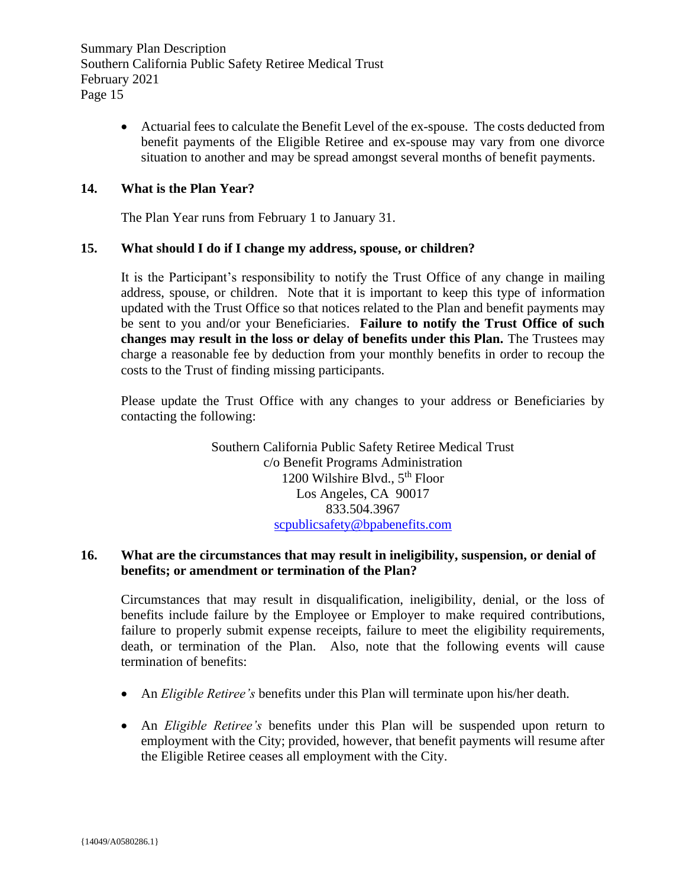> • Actuarial fees to calculate the Benefit Level of the ex-spouse. The costs deducted from benefit payments of the Eligible Retiree and ex-spouse may vary from one divorce situation to another and may be spread amongst several months of benefit payments.

### <span id="page-15-0"></span>**14. What is the Plan Year?**

The Plan Year runs from February 1 to January 31.

#### <span id="page-15-1"></span>**15. What should I do if I change my address, spouse, or children?**

It is the Participant's responsibility to notify the Trust Office of any change in mailing address, spouse, or children. Note that it is important to keep this type of information updated with the Trust Office so that notices related to the Plan and benefit payments may be sent to you and/or your Beneficiaries. **Failure to notify the Trust Office of such changes may result in the loss or delay of benefits under this Plan.** The Trustees may charge a reasonable fee by deduction from your monthly benefits in order to recoup the costs to the Trust of finding missing participants.

Please update the Trust Office with any changes to your address or Beneficiaries by contacting the following:

> Southern California Public Safety Retiree Medical Trust c/o Benefit Programs Administration 1200 Wilshire Blvd.,  $5<sup>th</sup>$  Floor Los Angeles, CA 90017 833.504.3967 [scpublicsafety@bpabenefits.com](mailto:scpublicsafety@bpabenefits.com)

# <span id="page-15-2"></span>**16. What are the circumstances that may result in ineligibility, suspension, or denial of benefits; or amendment or termination of the Plan?**

Circumstances that may result in disqualification, ineligibility, denial, or the loss of benefits include failure by the Employee or Employer to make required contributions, failure to properly submit expense receipts, failure to meet the eligibility requirements, death, or termination of the Plan. Also, note that the following events will cause termination of benefits:

- An *Eligible Retiree's* benefits under this Plan will terminate upon his/her death.
- An *Eligible Retiree's* benefits under this Plan will be suspended upon return to employment with the City; provided, however, that benefit payments will resume after the Eligible Retiree ceases all employment with the City.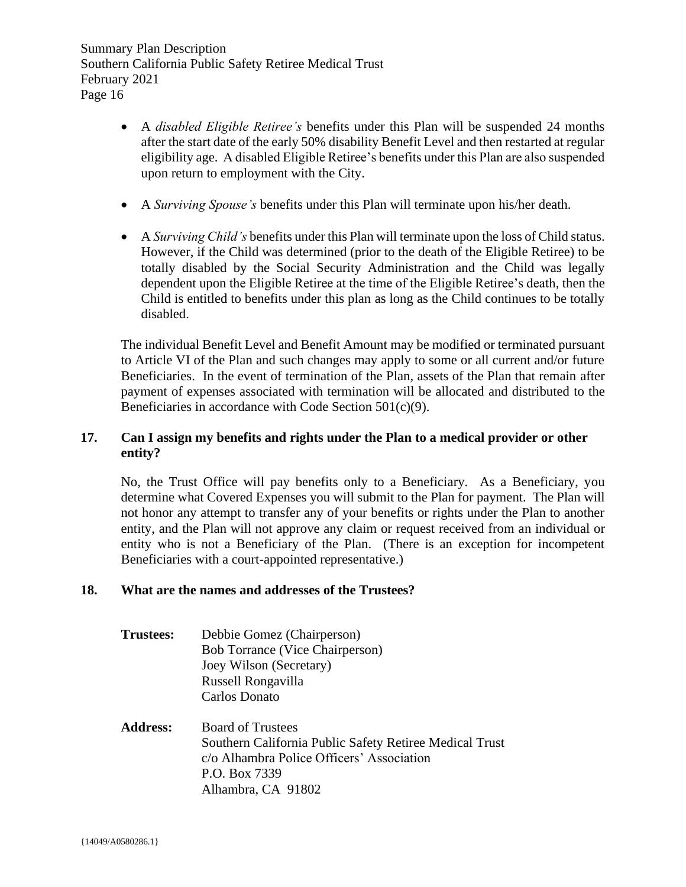- A *disabled Eligible Retiree's* benefits under this Plan will be suspended 24 months after the start date of the early 50% disability Benefit Level and then restarted at regular eligibility age. A disabled Eligible Retiree's benefits under this Plan are also suspended upon return to employment with the City.
- A *Surviving Spouse's* benefits under this Plan will terminate upon his/her death.
- A *Surviving Child's* benefits under this Plan will terminate upon the loss of Child status. However, if the Child was determined (prior to the death of the Eligible Retiree) to be totally disabled by the Social Security Administration and the Child was legally dependent upon the Eligible Retiree at the time of the Eligible Retiree's death, then the Child is entitled to benefits under this plan as long as the Child continues to be totally disabled.

The individual Benefit Level and Benefit Amount may be modified or terminated pursuant to Article VI of the Plan and such changes may apply to some or all current and/or future Beneficiaries. In the event of termination of the Plan, assets of the Plan that remain after payment of expenses associated with termination will be allocated and distributed to the Beneficiaries in accordance with Code Section 501(c)(9).

# <span id="page-16-0"></span>**17. Can I assign my benefits and rights under the Plan to a medical provider or other entity?**

No, the Trust Office will pay benefits only to a Beneficiary. As a Beneficiary, you determine what Covered Expenses you will submit to the Plan for payment. The Plan will not honor any attempt to transfer any of your benefits or rights under the Plan to another entity, and the Plan will not approve any claim or request received from an individual or entity who is not a Beneficiary of the Plan. (There is an exception for incompetent Beneficiaries with a court-appointed representative.)

## <span id="page-16-1"></span>**18. What are the names and addresses of the Trustees?**

- **Trustees:** Debbie Gomez (Chairperson) Bob Torrance (Vice Chairperson) Joey Wilson (Secretary) Russell Rongavilla Carlos Donato
- **Address:** Board of Trustees Southern California Public Safety Retiree Medical Trust c/o Alhambra Police Officers' Association P.O. Box 7339 Alhambra, CA 91802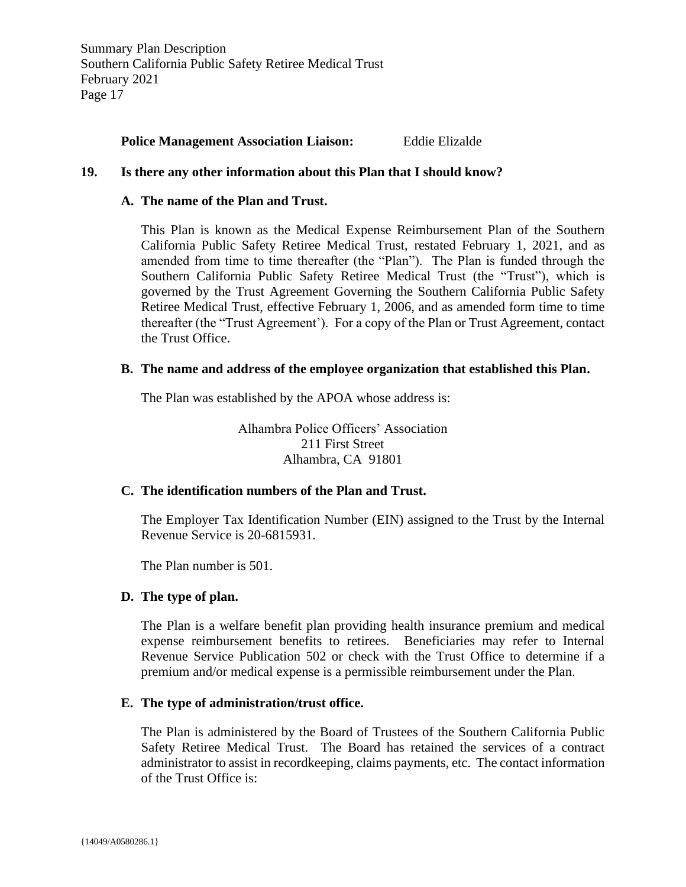#### **Police Management Association Liaison:** Eddie Elizalde

#### <span id="page-17-1"></span><span id="page-17-0"></span>**19. Is there any other information about this Plan that I should know?**

#### **A. The name of the Plan and Trust.**

This Plan is known as the Medical Expense Reimbursement Plan of the Southern California Public Safety Retiree Medical Trust, restated February 1, 2021, and as amended from time to time thereafter (the "Plan"). The Plan is funded through the Southern California Public Safety Retiree Medical Trust (the "Trust"), which is governed by the Trust Agreement Governing the Southern California Public Safety Retiree Medical Trust, effective February 1, 2006, and as amended form time to time thereafter (the "Trust Agreement'). For a copy of the Plan or Trust Agreement, contact the Trust Office.

### <span id="page-17-2"></span>**B. The name and address of the employee organization that established this Plan.**

The Plan was established by the APOA whose address is:

Alhambra Police Officers' Association 211 First Street Alhambra, CA 91801

#### <span id="page-17-3"></span>**C. The identification numbers of the Plan and Trust.**

The Employer Tax Identification Number (EIN) assigned to the Trust by the Internal Revenue Service is 20-6815931.

The Plan number is 501.

## <span id="page-17-4"></span>**D. The type of plan.**

The Plan is a welfare benefit plan providing health insurance premium and medical expense reimbursement benefits to retirees. Beneficiaries may refer to Internal Revenue Service Publication 502 or check with the Trust Office to determine if a premium and/or medical expense is a permissible reimbursement under the Plan.

## <span id="page-17-5"></span>**E. The type of administration/trust office.**

The Plan is administered by the Board of Trustees of the Southern California Public Safety Retiree Medical Trust. The Board has retained the services of a contract administrator to assist in recordkeeping, claims payments, etc. The contact information of the Trust Office is: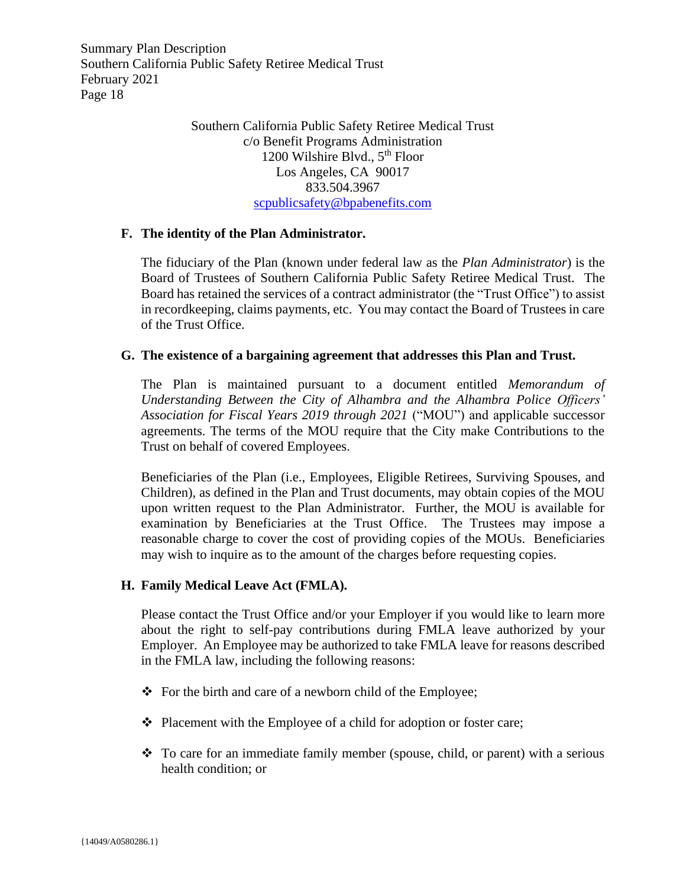> Southern California Public Safety Retiree Medical Trust c/o Benefit Programs Administration 1200 Wilshire Blvd.,  $5<sup>th</sup>$  Floor Los Angeles, CA 90017 833.504.3967 [scpublicsafety@bpabenefits.com](mailto:scpublicsafety@bpabenefits.com)

#### <span id="page-18-0"></span>**F. The identity of the Plan Administrator.**

The fiduciary of the Plan (known under federal law as the *Plan Administrator*) is the Board of Trustees of Southern California Public Safety Retiree Medical Trust. The Board has retained the services of a contract administrator (the "Trust Office") to assist in recordkeeping, claims payments, etc. You may contact the Board of Trustees in care of the Trust Office.

#### <span id="page-18-1"></span>**G. The existence of a bargaining agreement that addresses this Plan and Trust.**

The Plan is maintained pursuant to a document entitled *Memorandum of Understanding Between the City of Alhambra and the Alhambra Police Officers' Association for Fiscal Years 2019 through 2021* ("MOU") and applicable successor agreements. The terms of the MOU require that the City make Contributions to the Trust on behalf of covered Employees.

Beneficiaries of the Plan (i.e., Employees, Eligible Retirees, Surviving Spouses, and Children), as defined in the Plan and Trust documents, may obtain copies of the MOU upon written request to the Plan Administrator. Further, the MOU is available for examination by Beneficiaries at the Trust Office. The Trustees may impose a reasonable charge to cover the cost of providing copies of the MOUs. Beneficiaries may wish to inquire as to the amount of the charges before requesting copies.

## <span id="page-18-2"></span>**H. Family Medical Leave Act (FMLA).**

Please contact the Trust Office and/or your Employer if you would like to learn more about the right to self-pay contributions during FMLA leave authorized by your Employer. An Employee may be authorized to take FMLA leave for reasons described in the FMLA law, including the following reasons:

- ❖ For the birth and care of a newborn child of the Employee;
- ❖ Placement with the Employee of a child for adoption or foster care;
- ❖ To care for an immediate family member (spouse, child, or parent) with a serious health condition; or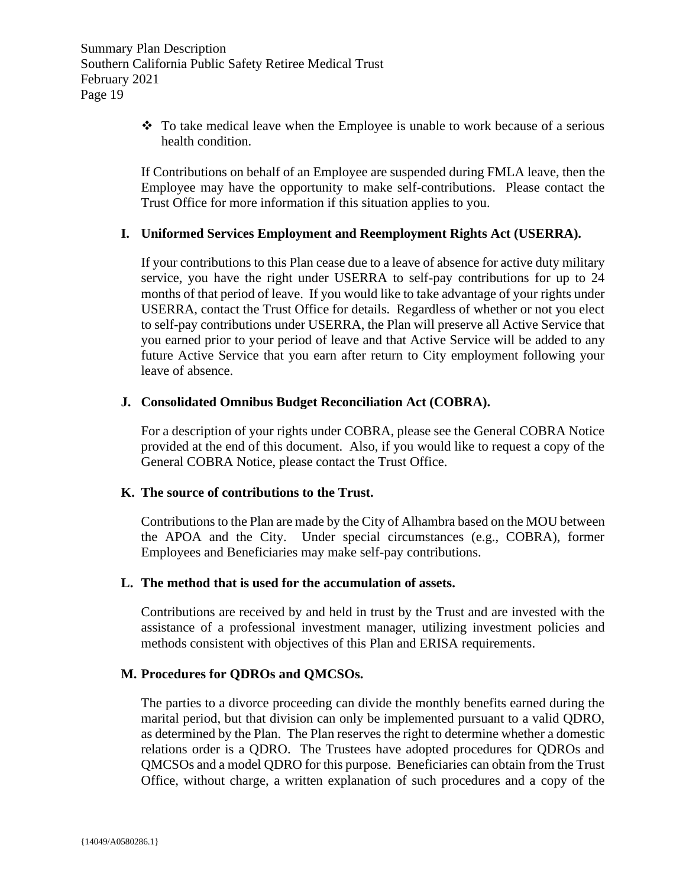❖ To take medical leave when the Employee is unable to work because of a serious health condition.

If Contributions on behalf of an Employee are suspended during FMLA leave, then the Employee may have the opportunity to make self-contributions. Please contact the Trust Office for more information if this situation applies to you.

# <span id="page-19-0"></span>**I. Uniformed Services Employment and Reemployment Rights Act (USERRA).**

If your contributions to this Plan cease due to a leave of absence for active duty military service, you have the right under USERRA to self-pay contributions for up to 24 months of that period of leave. If you would like to take advantage of your rights under USERRA, contact the Trust Office for details. Regardless of whether or not you elect to self-pay contributions under USERRA, the Plan will preserve all Active Service that you earned prior to your period of leave and that Active Service will be added to any future Active Service that you earn after return to City employment following your leave of absence.

## <span id="page-19-1"></span>**J. Consolidated Omnibus Budget Reconciliation Act (COBRA).**

For a description of your rights under COBRA, please see the General COBRA Notice provided at the end of this document. Also, if you would like to request a copy of the General COBRA Notice, please contact the Trust Office.

## <span id="page-19-2"></span>**K. The source of contributions to the Trust.**

Contributions to the Plan are made by the City of Alhambra based on the MOU between the APOA and the City. Under special circumstances (e.g., COBRA), former Employees and Beneficiaries may make self-pay contributions.

## <span id="page-19-3"></span>**L. The method that is used for the accumulation of assets.**

Contributions are received by and held in trust by the Trust and are invested with the assistance of a professional investment manager, utilizing investment policies and methods consistent with objectives of this Plan and ERISA requirements.

# <span id="page-19-4"></span>**M. Procedures for QDROs and QMCSOs.**

The parties to a divorce proceeding can divide the monthly benefits earned during the marital period, but that division can only be implemented pursuant to a valid QDRO, as determined by the Plan. The Plan reserves the right to determine whether a domestic relations order is a QDRO. The Trustees have adopted procedures for QDROs and QMCSOs and a model QDRO for this purpose. Beneficiaries can obtain from the Trust Office, without charge, a written explanation of such procedures and a copy of the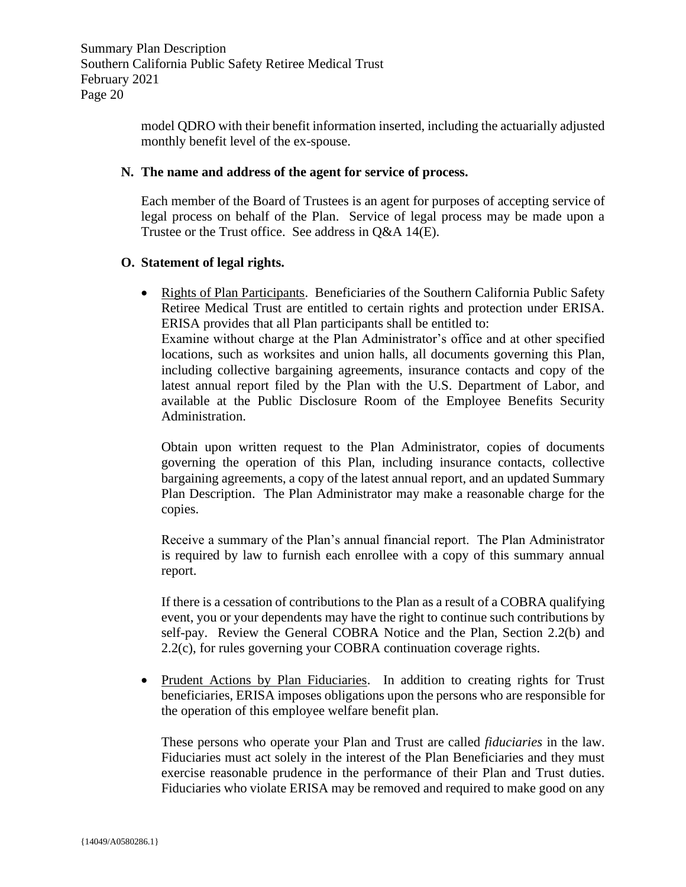model QDRO with their benefit information inserted, including the actuarially adjusted monthly benefit level of the ex-spouse.

## <span id="page-20-0"></span>**N. The name and address of the agent for service of process.**

Each member of the Board of Trustees is an agent for purposes of accepting service of legal process on behalf of the Plan. Service of legal process may be made upon a Trustee or the Trust office. See address in Q&A 14(E).

## <span id="page-20-1"></span>**O. Statement of legal rights.**

• Rights of Plan Participants. Beneficiaries of the Southern California Public Safety Retiree Medical Trust are entitled to certain rights and protection under ERISA. ERISA provides that all Plan participants shall be entitled to:

Examine without charge at the Plan Administrator's office and at other specified locations, such as worksites and union halls, all documents governing this Plan, including collective bargaining agreements, insurance contacts and copy of the latest annual report filed by the Plan with the U.S. Department of Labor, and available at the Public Disclosure Room of the Employee Benefits Security Administration.

Obtain upon written request to the Plan Administrator, copies of documents governing the operation of this Plan, including insurance contacts, collective bargaining agreements, a copy of the latest annual report, and an updated Summary Plan Description. The Plan Administrator may make a reasonable charge for the copies.

Receive a summary of the Plan's annual financial report. The Plan Administrator is required by law to furnish each enrollee with a copy of this summary annual report.

If there is a cessation of contributions to the Plan as a result of a COBRA qualifying event, you or your dependents may have the right to continue such contributions by self-pay. Review the General COBRA Notice and the Plan, Section 2.2(b) and 2.2(c), for rules governing your COBRA continuation coverage rights.

• Prudent Actions by Plan Fiduciaries. In addition to creating rights for Trust beneficiaries, ERISA imposes obligations upon the persons who are responsible for the operation of this employee welfare benefit plan.

These persons who operate your Plan and Trust are called *fiduciaries* in the law. Fiduciaries must act solely in the interest of the Plan Beneficiaries and they must exercise reasonable prudence in the performance of their Plan and Trust duties. Fiduciaries who violate ERISA may be removed and required to make good on any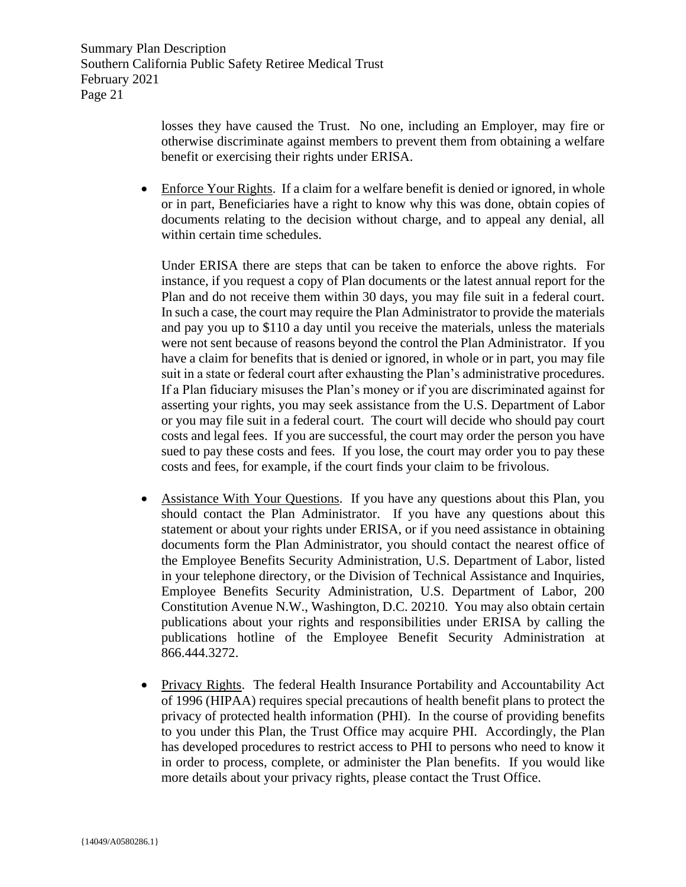> losses they have caused the Trust. No one, including an Employer, may fire or otherwise discriminate against members to prevent them from obtaining a welfare benefit or exercising their rights under ERISA.

• Enforce Your Rights. If a claim for a welfare benefit is denied or ignored, in whole or in part, Beneficiaries have a right to know why this was done, obtain copies of documents relating to the decision without charge, and to appeal any denial, all within certain time schedules.

Under ERISA there are steps that can be taken to enforce the above rights. For instance, if you request a copy of Plan documents or the latest annual report for the Plan and do not receive them within 30 days, you may file suit in a federal court. In such a case, the court may require the Plan Administrator to provide the materials and pay you up to \$110 a day until you receive the materials, unless the materials were not sent because of reasons beyond the control the Plan Administrator. If you have a claim for benefits that is denied or ignored, in whole or in part, you may file suit in a state or federal court after exhausting the Plan's administrative procedures. If a Plan fiduciary misuses the Plan's money or if you are discriminated against for asserting your rights, you may seek assistance from the U.S. Department of Labor or you may file suit in a federal court. The court will decide who should pay court costs and legal fees. If you are successful, the court may order the person you have sued to pay these costs and fees. If you lose, the court may order you to pay these costs and fees, for example, if the court finds your claim to be frivolous.

- Assistance With Your Questions. If you have any questions about this Plan, you should contact the Plan Administrator. If you have any questions about this statement or about your rights under ERISA, or if you need assistance in obtaining documents form the Plan Administrator, you should contact the nearest office of the Employee Benefits Security Administration, U.S. Department of Labor, listed in your telephone directory, or the Division of Technical Assistance and Inquiries, Employee Benefits Security Administration, U.S. Department of Labor, 200 Constitution Avenue N.W., Washington, D.C. 20210. You may also obtain certain publications about your rights and responsibilities under ERISA by calling the publications hotline of the Employee Benefit Security Administration at 866.444.3272.
- Privacy Rights. The federal Health Insurance Portability and Accountability Act of 1996 (HIPAA) requires special precautions of health benefit plans to protect the privacy of protected health information (PHI). In the course of providing benefits to you under this Plan, the Trust Office may acquire PHI. Accordingly, the Plan has developed procedures to restrict access to PHI to persons who need to know it in order to process, complete, or administer the Plan benefits. If you would like more details about your privacy rights, please contact the Trust Office.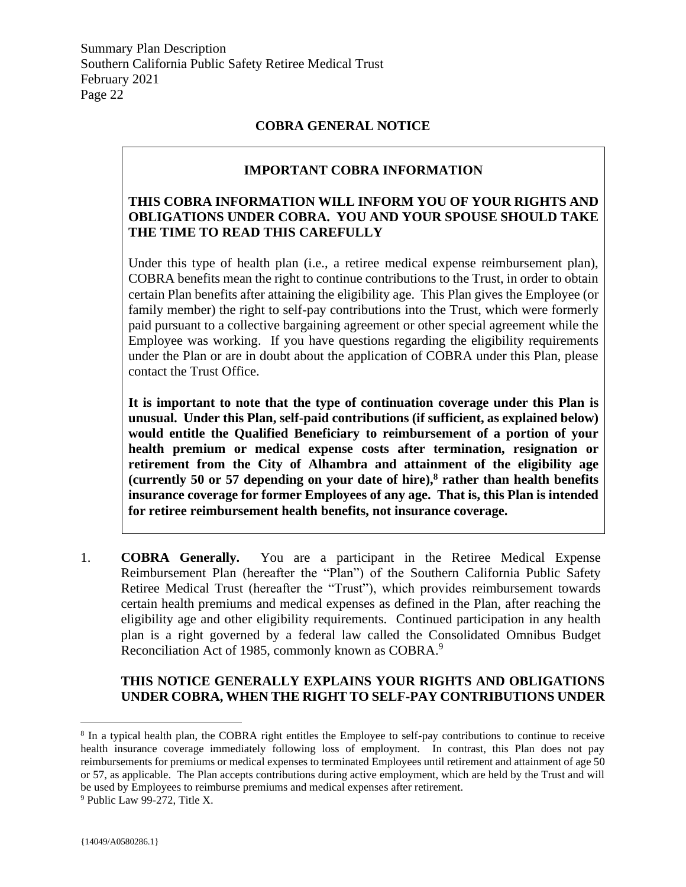# **COBRA GENERAL NOTICE**

# **IMPORTANT COBRA INFORMATION**

# <span id="page-22-0"></span>**THIS COBRA INFORMATION WILL INFORM YOU OF YOUR RIGHTS AND OBLIGATIONS UNDER COBRA. YOU AND YOUR SPOUSE SHOULD TAKE THE TIME TO READ THIS CAREFULLY**

Under this type of health plan (i.e., a retiree medical expense reimbursement plan), COBRA benefits mean the right to continue contributions to the Trust, in order to obtain certain Plan benefits after attaining the eligibility age. This Plan gives the Employee (or family member) the right to self-pay contributions into the Trust, which were formerly paid pursuant to a collective bargaining agreement or other special agreement while the Employee was working. If you have questions regarding the eligibility requirements under the Plan or are in doubt about the application of COBRA under this Plan, please contact the Trust Office.

**It is important to note that the type of continuation coverage under this Plan is unusual. Under this Plan, self-paid contributions (if sufficient, as explained below) would entitle the Qualified Beneficiary to reimbursement of a portion of your health premium or medical expense costs after termination, resignation or retirement from the City of Alhambra and attainment of the eligibility age (currently 50 or 57 depending on your date of hire),<sup>8</sup> rather than health benefits insurance coverage for former Employees of any age. That is, this Plan is intended for retiree reimbursement health benefits, not insurance coverage.**

1. **COBRA Generally.** You are a participant in the Retiree Medical Expense Reimbursement Plan (hereafter the "Plan") of the Southern California Public Safety Retiree Medical Trust (hereafter the "Trust"), which provides reimbursement towards certain health premiums and medical expenses as defined in the Plan, after reaching the eligibility age and other eligibility requirements. Continued participation in any health plan is a right governed by a federal law called the Consolidated Omnibus Budget Reconciliation Act of 1985, commonly known as COBRA.<sup>9</sup>

# **THIS NOTICE GENERALLY EXPLAINS YOUR RIGHTS AND OBLIGATIONS UNDER COBRA, WHEN THE RIGHT TO SELF-PAY CONTRIBUTIONS UNDER**

<sup>&</sup>lt;sup>8</sup> In a typical health plan, the COBRA right entitles the Employee to self-pay contributions to continue to receive health insurance coverage immediately following loss of employment. In contrast, this Plan does not pay reimbursements for premiums or medical expenses to terminated Employees until retirement and attainment of age 50 or 57, as applicable. The Plan accepts contributions during active employment, which are held by the Trust and will be used by Employees to reimburse premiums and medical expenses after retirement.

<sup>9</sup> Public Law 99-272, Title X.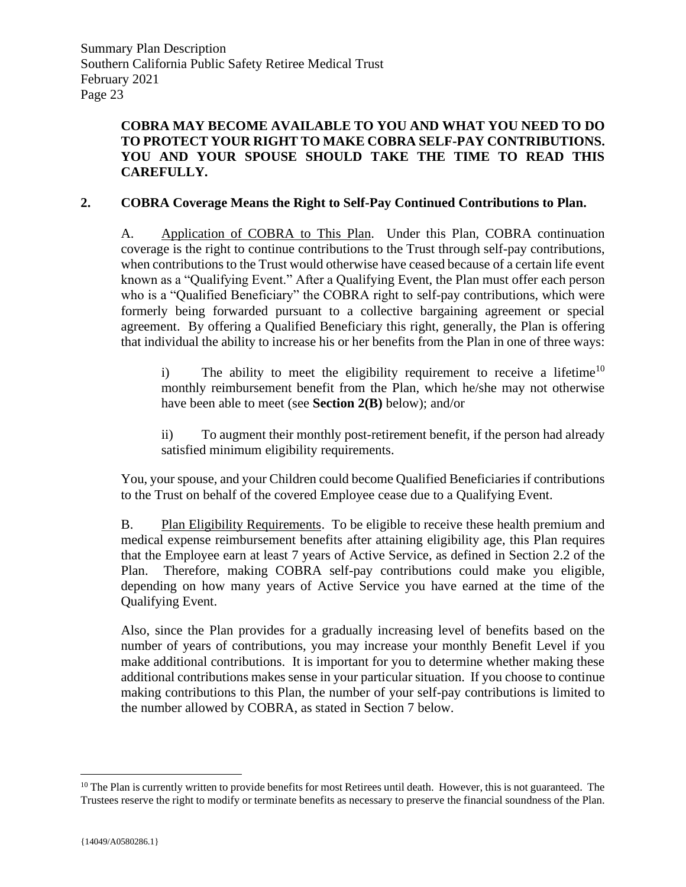# **COBRA MAY BECOME AVAILABLE TO YOU AND WHAT YOU NEED TO DO TO PROTECT YOUR RIGHT TO MAKE COBRA SELF-PAY CONTRIBUTIONS. YOU AND YOUR SPOUSE SHOULD TAKE THE TIME TO READ THIS CAREFULLY.**

# **2. COBRA Coverage Means the Right to Self-Pay Continued Contributions to Plan.**

A. Application of COBRA to This Plan. Under this Plan, COBRA continuation coverage is the right to continue contributions to the Trust through self-pay contributions, when contributions to the Trust would otherwise have ceased because of a certain life event known as a "Qualifying Event." After a Qualifying Event, the Plan must offer each person who is a "Qualified Beneficiary" the COBRA right to self-pay contributions, which were formerly being forwarded pursuant to a collective bargaining agreement or special agreement. By offering a Qualified Beneficiary this right, generally, the Plan is offering that individual the ability to increase his or her benefits from the Plan in one of three ways:

i) The ability to meet the eligibility requirement to receive a lifetime<sup>10</sup> monthly reimbursement benefit from the Plan, which he/she may not otherwise have been able to meet (see **Section 2(B)** below); and/or

ii) To augment their monthly post-retirement benefit, if the person had already satisfied minimum eligibility requirements.

You, your spouse, and your Children could become Qualified Beneficiaries if contributions to the Trust on behalf of the covered Employee cease due to a Qualifying Event.

B. Plan Eligibility Requirements. To be eligible to receive these health premium and medical expense reimbursement benefits after attaining eligibility age, this Plan requires that the Employee earn at least 7 years of Active Service, as defined in Section 2.2 of the Plan. Therefore, making COBRA self-pay contributions could make you eligible, depending on how many years of Active Service you have earned at the time of the Qualifying Event.

Also, since the Plan provides for a gradually increasing level of benefits based on the number of years of contributions, you may increase your monthly Benefit Level if you make additional contributions. It is important for you to determine whether making these additional contributions makes sense in your particular situation. If you choose to continue making contributions to this Plan, the number of your self-pay contributions is limited to the number allowed by COBRA, as stated in Section 7 below.

 $10$  The Plan is currently written to provide benefits for most Retirees until death. However, this is not guaranteed. The Trustees reserve the right to modify or terminate benefits as necessary to preserve the financial soundness of the Plan.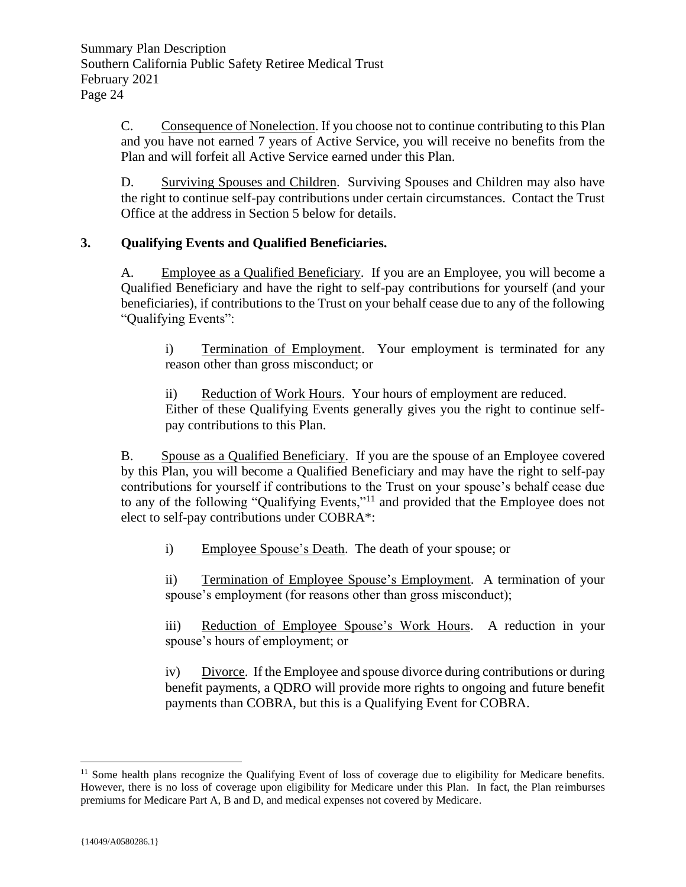C. Consequence of Nonelection. If you choose not to continue contributing to this Plan and you have not earned 7 years of Active Service, you will receive no benefits from the Plan and will forfeit all Active Service earned under this Plan.

D. Surviving Spouses and Children. Surviving Spouses and Children may also have the right to continue self-pay contributions under certain circumstances. Contact the Trust Office at the address in Section 5 below for details.

# **3. Qualifying Events and Qualified Beneficiaries.**

A. Employee as a Qualified Beneficiary. If you are an Employee, you will become a Qualified Beneficiary and have the right to self-pay contributions for yourself (and your beneficiaries), if contributions to the Trust on your behalf cease due to any of the following "Qualifying Events":

i) Termination of Employment. Your employment is terminated for any reason other than gross misconduct; or

ii) Reduction of Work Hours. Your hours of employment are reduced. Either of these Qualifying Events generally gives you the right to continue selfpay contributions to this Plan.

B. Spouse as a Qualified Beneficiary. If you are the spouse of an Employee covered by this Plan, you will become a Qualified Beneficiary and may have the right to self-pay contributions for yourself if contributions to the Trust on your spouse's behalf cease due to any of the following "Qualifying Events,"<sup>11</sup> and provided that the Employee does not elect to self-pay contributions under COBRA\*:

i) Employee Spouse's Death. The death of your spouse; or

ii) Termination of Employee Spouse's Employment. A termination of your spouse's employment (for reasons other than gross misconduct);

iii) Reduction of Employee Spouse's Work Hours. A reduction in your spouse's hours of employment; or

iv) Divorce. If the Employee and spouse divorce during contributions or during benefit payments, a QDRO will provide more rights to ongoing and future benefit payments than COBRA, but this is a Qualifying Event for COBRA.

 $11$  Some health plans recognize the Qualifying Event of loss of coverage due to eligibility for Medicare benefits. However, there is no loss of coverage upon eligibility for Medicare under this Plan. In fact, the Plan reimburses premiums for Medicare Part A, B and D, and medical expenses not covered by Medicare.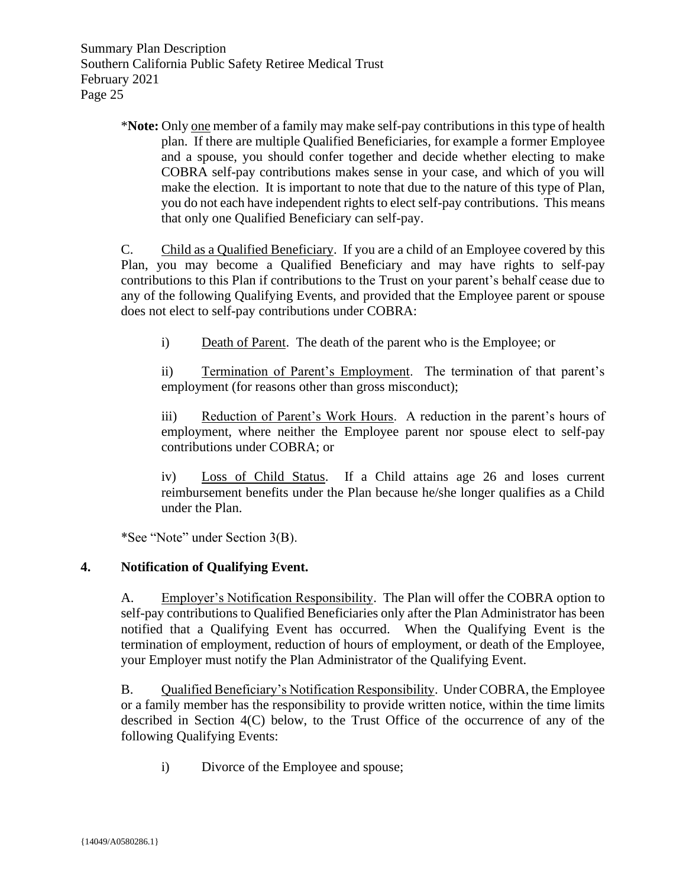> \***Note:** Only one member of a family may make self-pay contributions in this type of health plan. If there are multiple Qualified Beneficiaries, for example a former Employee and a spouse, you should confer together and decide whether electing to make COBRA self-pay contributions makes sense in your case, and which of you will make the election. It is important to note that due to the nature of this type of Plan, you do not each have independent rights to elect self-pay contributions. This means that only one Qualified Beneficiary can self-pay.

> C. Child as a Qualified Beneficiary. If you are a child of an Employee covered by this Plan, you may become a Qualified Beneficiary and may have rights to self-pay contributions to this Plan if contributions to the Trust on your parent's behalf cease due to any of the following Qualifying Events, and provided that the Employee parent or spouse does not elect to self-pay contributions under COBRA:

i) Death of Parent. The death of the parent who is the Employee; or

ii) Termination of Parent's Employment. The termination of that parent's employment (for reasons other than gross misconduct);

iii) Reduction of Parent's Work Hours. A reduction in the parent's hours of employment, where neither the Employee parent nor spouse elect to self-pay contributions under COBRA; or

iv) Loss of Child Status. If a Child attains age 26 and loses current reimbursement benefits under the Plan because he/she longer qualifies as a Child under the Plan.

\*See "Note" under Section 3(B).

# **4. Notification of Qualifying Event.**

A. Employer's Notification Responsibility. The Plan will offer the COBRA option to self-pay contributions to Qualified Beneficiaries only after the Plan Administrator has been notified that a Qualifying Event has occurred. When the Qualifying Event is the termination of employment, reduction of hours of employment, or death of the Employee, your Employer must notify the Plan Administrator of the Qualifying Event.

B. Qualified Beneficiary's Notification Responsibility. Under COBRA, the Employee or a family member has the responsibility to provide written notice, within the time limits described in Section 4(C) below, to the Trust Office of the occurrence of any of the following Qualifying Events:

i) Divorce of the Employee and spouse;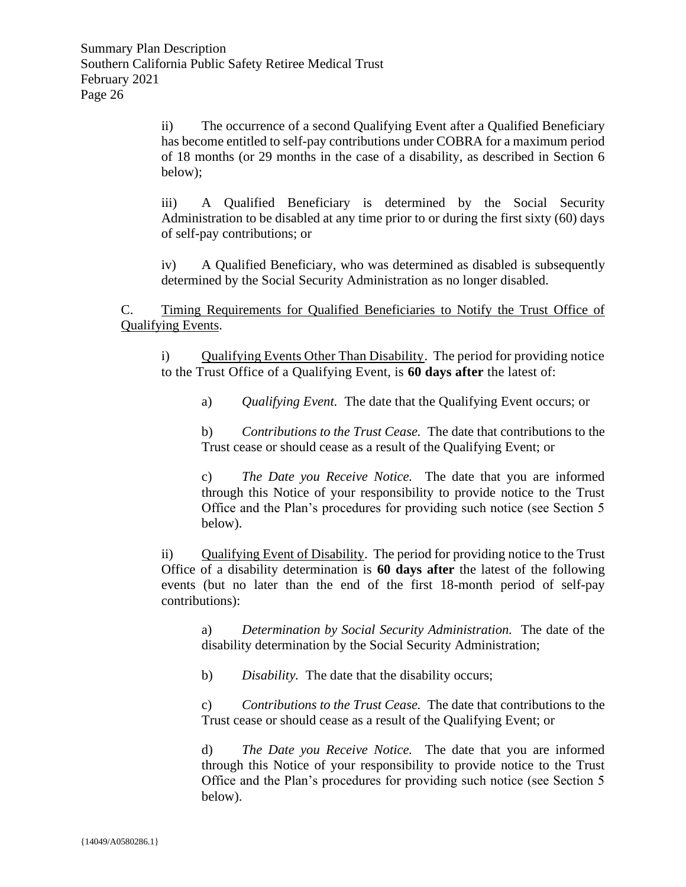ii) The occurrence of a second Qualifying Event after a Qualified Beneficiary has become entitled to self-pay contributions under COBRA for a maximum period of 18 months (or 29 months in the case of a disability, as described in Section 6 below);

iii) A Qualified Beneficiary is determined by the Social Security Administration to be disabled at any time prior to or during the first sixty (60) days of self-pay contributions; or

iv) A Qualified Beneficiary, who was determined as disabled is subsequently determined by the Social Security Administration as no longer disabled.

C. Timing Requirements for Qualified Beneficiaries to Notify the Trust Office of Qualifying Events.

i) Qualifying Events Other Than Disability. The period for providing notice to the Trust Office of a Qualifying Event, is **60 days after** the latest of:

a) *Qualifying Event.* The date that the Qualifying Event occurs; or

b) *Contributions to the Trust Cease.* The date that contributions to the Trust cease or should cease as a result of the Qualifying Event; or

c) *The Date you Receive Notice.* The date that you are informed through this Notice of your responsibility to provide notice to the Trust Office and the Plan's procedures for providing such notice (see Section 5 below).

ii) Qualifying Event of Disability. The period for providing notice to the Trust Office of a disability determination is **60 days after** the latest of the following events (but no later than the end of the first 18-month period of self-pay contributions):

a) *Determination by Social Security Administration.* The date of the disability determination by the Social Security Administration;

b) *Disability.* The date that the disability occurs;

c) *Contributions to the Trust Cease.* The date that contributions to the Trust cease or should cease as a result of the Qualifying Event; or

d) *The Date you Receive Notice.* The date that you are informed through this Notice of your responsibility to provide notice to the Trust Office and the Plan's procedures for providing such notice (see Section 5 below).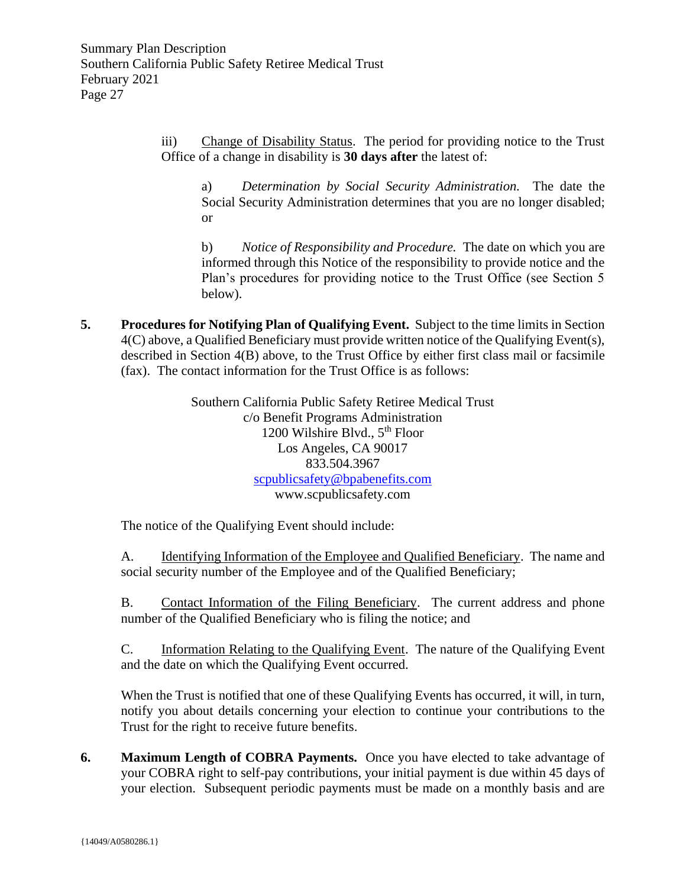iii) Change of Disability Status. The period for providing notice to the Trust Office of a change in disability is **30 days after** the latest of:

a) *Determination by Social Security Administration.* The date the Social Security Administration determines that you are no longer disabled; or

b) *Notice of Responsibility and Procedure.* The date on which you are informed through this Notice of the responsibility to provide notice and the Plan's procedures for providing notice to the Trust Office (see Section 5 below).

**5. Procedures for Notifying Plan of Qualifying Event.** Subject to the time limits in Section 4(C) above, a Qualified Beneficiary must provide written notice of the Qualifying Event(s), described in Section 4(B) above, to the Trust Office by either first class mail or facsimile (fax). The contact information for the Trust Office is as follows:

> Southern California Public Safety Retiree Medical Trust c/o Benefit Programs Administration 1200 Wilshire Blvd., 5<sup>th</sup> Floor Los Angeles, CA 90017 833.504.3967 [scpublicsafety@bpabenefits.com](mailto:scpublicsafety@bpabenefits.com) www.scpublicsafety.com

The notice of the Qualifying Event should include:

A. Identifying Information of the Employee and Qualified Beneficiary. The name and social security number of the Employee and of the Qualified Beneficiary;

B. Contact Information of the Filing Beneficiary. The current address and phone number of the Qualified Beneficiary who is filing the notice; and

C. Information Relating to the Qualifying Event. The nature of the Qualifying Event and the date on which the Qualifying Event occurred.

When the Trust is notified that one of these Qualifying Events has occurred, it will, in turn, notify you about details concerning your election to continue your contributions to the Trust for the right to receive future benefits.

**6. Maximum Length of COBRA Payments.** Once you have elected to take advantage of your COBRA right to self-pay contributions, your initial payment is due within 45 days of your election. Subsequent periodic payments must be made on a monthly basis and are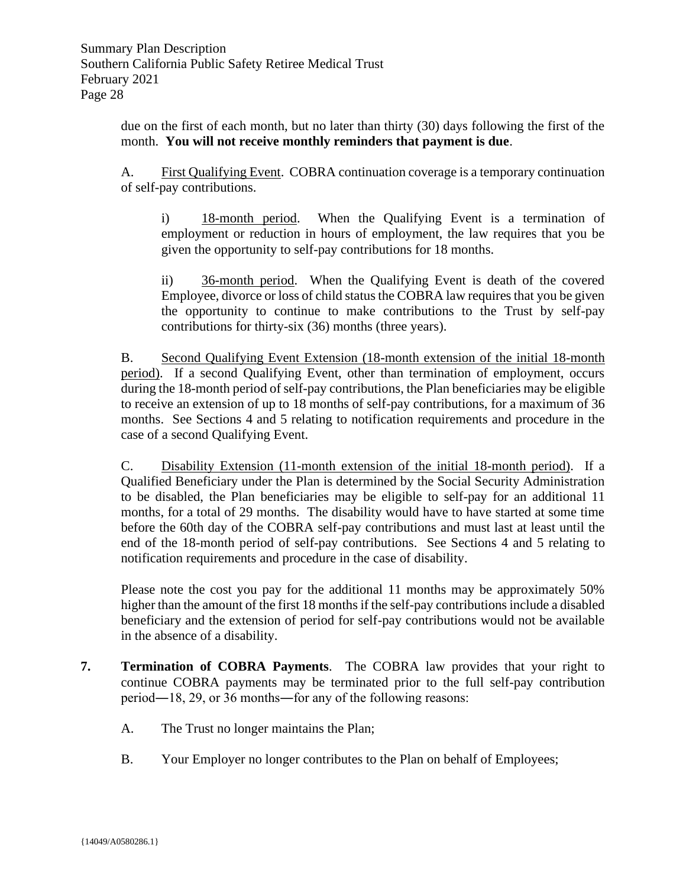due on the first of each month, but no later than thirty (30) days following the first of the month. **You will not receive monthly reminders that payment is due**.

A. First Qualifying Event. COBRA continuation coverage is a temporary continuation of self-pay contributions.

i) 18-month period. When the Qualifying Event is a termination of employment or reduction in hours of employment, the law requires that you be given the opportunity to self-pay contributions for 18 months.

ii) 36-month period. When the Qualifying Event is death of the covered Employee, divorce or loss of child status the COBRA law requires that you be given the opportunity to continue to make contributions to the Trust by self-pay contributions for thirty-six (36) months (three years).

B. Second Qualifying Event Extension (18-month extension of the initial 18-month period). If a second Qualifying Event, other than termination of employment, occurs during the 18-month period of self-pay contributions, the Plan beneficiaries may be eligible to receive an extension of up to 18 months of self-pay contributions, for a maximum of 36 months. See Sections 4 and 5 relating to notification requirements and procedure in the case of a second Qualifying Event.

C. Disability Extension (11-month extension of the initial 18-month period). If a Qualified Beneficiary under the Plan is determined by the Social Security Administration to be disabled, the Plan beneficiaries may be eligible to self-pay for an additional 11 months, for a total of 29 months. The disability would have to have started at some time before the 60th day of the COBRA self-pay contributions and must last at least until the end of the 18-month period of self-pay contributions. See Sections 4 and 5 relating to notification requirements and procedure in the case of disability.

Please note the cost you pay for the additional 11 months may be approximately 50% higher than the amount of the first 18 months if the self-pay contributions include a disabled beneficiary and the extension of period for self-pay contributions would not be available in the absence of a disability.

- **7. Termination of COBRA Payments**. The COBRA law provides that your right to continue COBRA payments may be terminated prior to the full self-pay contribution period―18, 29, or 36 months―for any of the following reasons:
	- A. The Trust no longer maintains the Plan;
	- B. Your Employer no longer contributes to the Plan on behalf of Employees;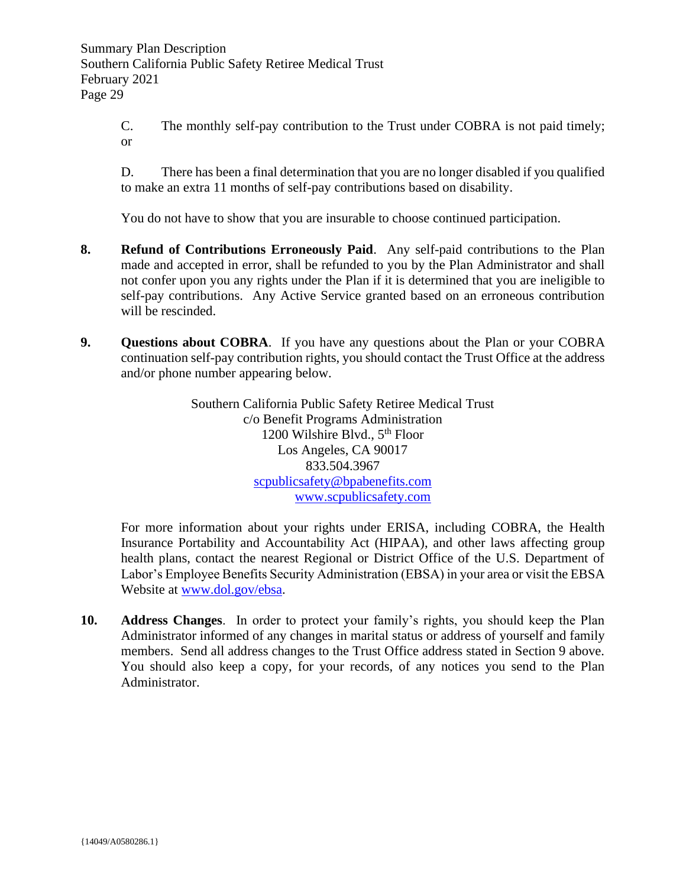C. The monthly self-pay contribution to the Trust under COBRA is not paid timely; or

D. There has been a final determination that you are no longer disabled if you qualified to make an extra 11 months of self-pay contributions based on disability.

You do not have to show that you are insurable to choose continued participation.

- **8. Refund of Contributions Erroneously Paid**. Any self-paid contributions to the Plan made and accepted in error, shall be refunded to you by the Plan Administrator and shall not confer upon you any rights under the Plan if it is determined that you are ineligible to self-pay contributions. Any Active Service granted based on an erroneous contribution will be rescinded.
- **9. Questions about COBRA**. If you have any questions about the Plan or your COBRA continuation self-pay contribution rights, you should contact the Trust Office at the address and/or phone number appearing below.

Southern California Public Safety Retiree Medical Trust c/o Benefit Programs Administration 1200 Wilshire Blvd., 5<sup>th</sup> Floor Los Angeles, CA 90017 833.504.3967 [scpublicsafety@bpabenefits.com](mailto:scpublicsafety@bpabenefits.com) [www.scpublicsafety.com](http://www.scpublicsafety.com/)

For more information about your rights under ERISA, including COBRA, the Health Insurance Portability and Accountability Act (HIPAA), and other laws affecting group health plans, contact the nearest Regional or District Office of the U.S. Department of Labor's Employee Benefits Security Administration (EBSA) in your area or visit the EBSA Website at [www.dol.gov/ebsa.](http://www.dol.gov/ebsa)

**10. Address Changes**. In order to protect your family's rights, you should keep the Plan Administrator informed of any changes in marital status or address of yourself and family members. Send all address changes to the Trust Office address stated in Section 9 above. You should also keep a copy, for your records, of any notices you send to the Plan Administrator.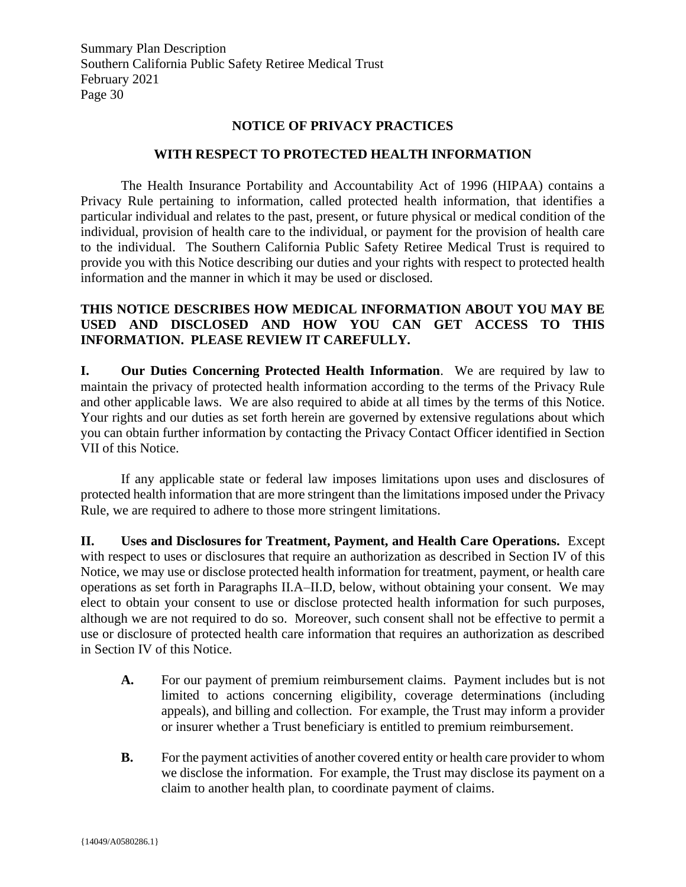# **NOTICE OF PRIVACY PRACTICES**

#### **WITH RESPECT TO PROTECTED HEALTH INFORMATION**

<span id="page-30-0"></span>The Health Insurance Portability and Accountability Act of 1996 (HIPAA) contains a Privacy Rule pertaining to information, called protected health information, that identifies a particular individual and relates to the past, present, or future physical or medical condition of the individual, provision of health care to the individual, or payment for the provision of health care to the individual. The Southern California Public Safety Retiree Medical Trust is required to provide you with this Notice describing our duties and your rights with respect to protected health information and the manner in which it may be used or disclosed.

# **THIS NOTICE DESCRIBES HOW MEDICAL INFORMATION ABOUT YOU MAY BE USED AND DISCLOSED AND HOW YOU CAN GET ACCESS TO THIS INFORMATION. PLEASE REVIEW IT CAREFULLY.**

**I. Our Duties Concerning Protected Health Information**. We are required by law to maintain the privacy of protected health information according to the terms of the Privacy Rule and other applicable laws. We are also required to abide at all times by the terms of this Notice. Your rights and our duties as set forth herein are governed by extensive regulations about which you can obtain further information by contacting the Privacy Contact Officer identified in Section VII of this Notice.

If any applicable state or federal law imposes limitations upon uses and disclosures of protected health information that are more stringent than the limitations imposed under the Privacy Rule, we are required to adhere to those more stringent limitations.

**II. Uses and Disclosures for Treatment, Payment, and Health Care Operations.** Except with respect to uses or disclosures that require an authorization as described in Section IV of this Notice, we may use or disclose protected health information for treatment, payment, or health care operations as set forth in Paragraphs II.A–II.D, below, without obtaining your consent. We may elect to obtain your consent to use or disclose protected health information for such purposes, although we are not required to do so. Moreover, such consent shall not be effective to permit a use or disclosure of protected health care information that requires an authorization as described in Section IV of this Notice.

- **A.** For our payment of premium reimbursement claims. Payment includes but is not limited to actions concerning eligibility, coverage determinations (including appeals), and billing and collection. For example, the Trust may inform a provider or insurer whether a Trust beneficiary is entitled to premium reimbursement.
- **B.** For the payment activities of another covered entity or health care provider to whom we disclose the information. For example, the Trust may disclose its payment on a claim to another health plan, to coordinate payment of claims.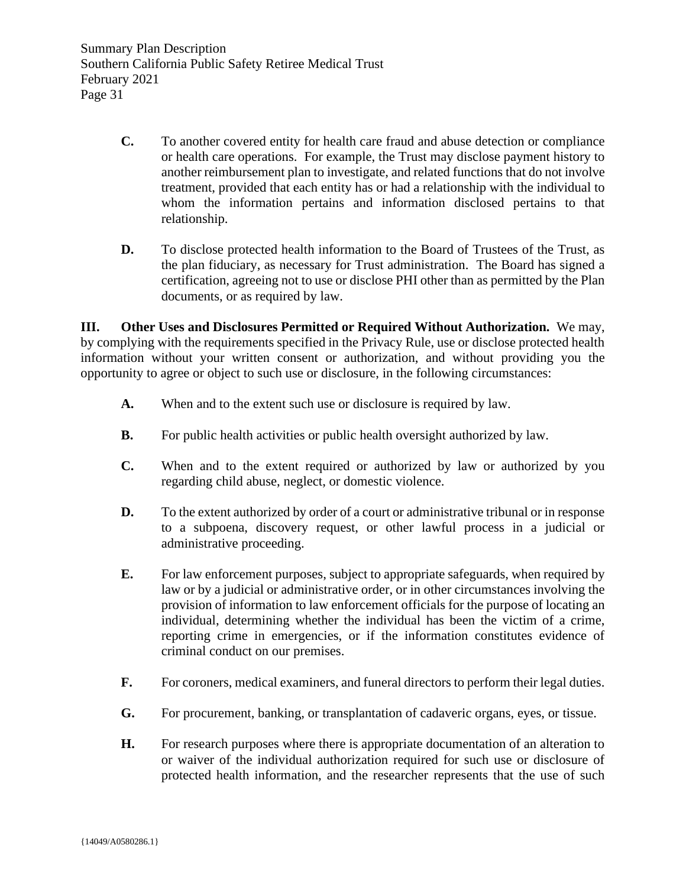- **C.** To another covered entity for health care fraud and abuse detection or compliance or health care operations. For example, the Trust may disclose payment history to another reimbursement plan to investigate, and related functions that do not involve treatment, provided that each entity has or had a relationship with the individual to whom the information pertains and information disclosed pertains to that relationship.
- **D.** To disclose protected health information to the Board of Trustees of the Trust, as the plan fiduciary, as necessary for Trust administration. The Board has signed a certification, agreeing not to use or disclose PHI other than as permitted by the Plan documents, or as required by law.

**III. Other Uses and Disclosures Permitted or Required Without Authorization.** We may, by complying with the requirements specified in the Privacy Rule, use or disclose protected health information without your written consent or authorization, and without providing you the opportunity to agree or object to such use or disclosure, in the following circumstances:

- **A.** When and to the extent such use or disclosure is required by law.
- **B.** For public health activities or public health oversight authorized by law.
- **C.** When and to the extent required or authorized by law or authorized by you regarding child abuse, neglect, or domestic violence.
- **D.** To the extent authorized by order of a court or administrative tribunal or in response to a subpoena, discovery request, or other lawful process in a judicial or administrative proceeding.
- **E.** For law enforcement purposes, subject to appropriate safeguards, when required by law or by a judicial or administrative order, or in other circumstances involving the provision of information to law enforcement officials for the purpose of locating an individual, determining whether the individual has been the victim of a crime, reporting crime in emergencies, or if the information constitutes evidence of criminal conduct on our premises.
- **F.** For coroners, medical examiners, and funeral directors to perform their legal duties.
- **G.** For procurement, banking, or transplantation of cadaveric organs, eyes, or tissue.
- **H.** For research purposes where there is appropriate documentation of an alteration to or waiver of the individual authorization required for such use or disclosure of protected health information, and the researcher represents that the use of such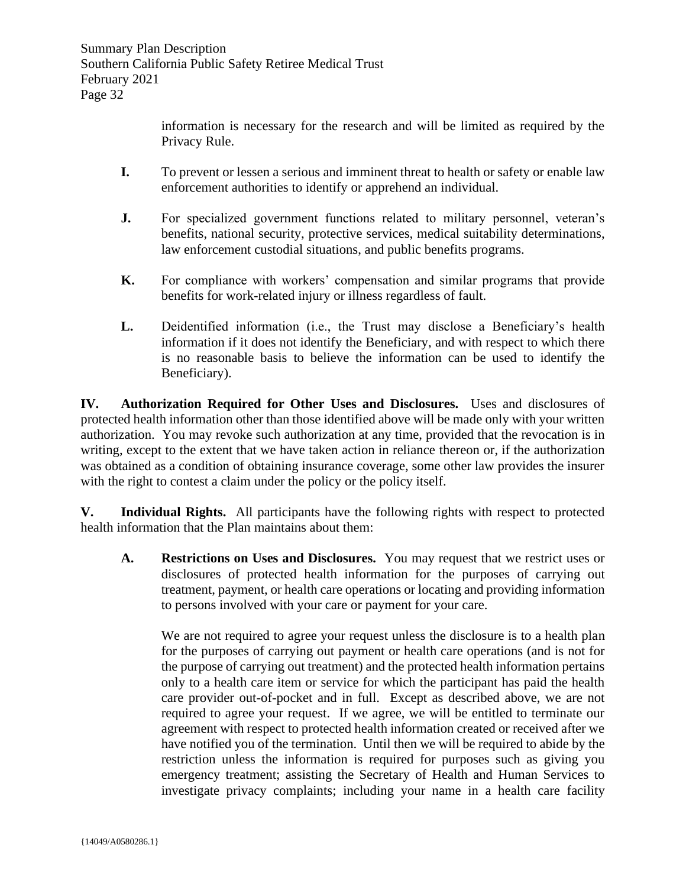information is necessary for the research and will be limited as required by the Privacy Rule.

- **I.** To prevent or lessen a serious and imminent threat to health or safety or enable law enforcement authorities to identify or apprehend an individual.
- **J.** For specialized government functions related to military personnel, veteran's benefits, national security, protective services, medical suitability determinations, law enforcement custodial situations, and public benefits programs.
- **K.** For compliance with workers' compensation and similar programs that provide benefits for work-related injury or illness regardless of fault.
- **L.** Deidentified information (i.e., the Trust may disclose a Beneficiary's health information if it does not identify the Beneficiary, and with respect to which there is no reasonable basis to believe the information can be used to identify the Beneficiary).

**IV. Authorization Required for Other Uses and Disclosures.** Uses and disclosures of protected health information other than those identified above will be made only with your written authorization. You may revoke such authorization at any time, provided that the revocation is in writing, except to the extent that we have taken action in reliance thereon or, if the authorization was obtained as a condition of obtaining insurance coverage, some other law provides the insurer with the right to contest a claim under the policy or the policy itself.

**V. Individual Rights.** All participants have the following rights with respect to protected health information that the Plan maintains about them:

**A. Restrictions on Uses and Disclosures.** You may request that we restrict uses or disclosures of protected health information for the purposes of carrying out treatment, payment, or health care operations or locating and providing information to persons involved with your care or payment for your care.

We are not required to agree your request unless the disclosure is to a health plan for the purposes of carrying out payment or health care operations (and is not for the purpose of carrying out treatment) and the protected health information pertains only to a health care item or service for which the participant has paid the health care provider out-of-pocket and in full. Except as described above, we are not required to agree your request. If we agree, we will be entitled to terminate our agreement with respect to protected health information created or received after we have notified you of the termination. Until then we will be required to abide by the restriction unless the information is required for purposes such as giving you emergency treatment; assisting the Secretary of Health and Human Services to investigate privacy complaints; including your name in a health care facility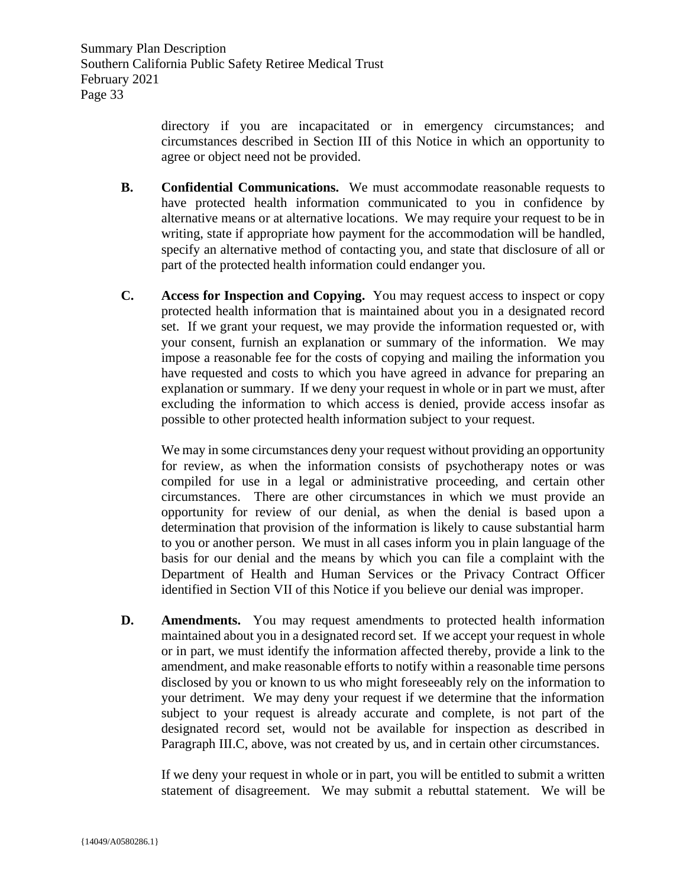directory if you are incapacitated or in emergency circumstances; and circumstances described in Section III of this Notice in which an opportunity to agree or object need not be provided.

- **B. Confidential Communications.** We must accommodate reasonable requests to have protected health information communicated to you in confidence by alternative means or at alternative locations. We may require your request to be in writing, state if appropriate how payment for the accommodation will be handled, specify an alternative method of contacting you, and state that disclosure of all or part of the protected health information could endanger you.
- **C. Access for Inspection and Copying.** You may request access to inspect or copy protected health information that is maintained about you in a designated record set. If we grant your request, we may provide the information requested or, with your consent, furnish an explanation or summary of the information. We may impose a reasonable fee for the costs of copying and mailing the information you have requested and costs to which you have agreed in advance for preparing an explanation or summary. If we deny your request in whole or in part we must, after excluding the information to which access is denied, provide access insofar as possible to other protected health information subject to your request.

We may in some circumstances deny your request without providing an opportunity for review, as when the information consists of psychotherapy notes or was compiled for use in a legal or administrative proceeding, and certain other circumstances. There are other circumstances in which we must provide an opportunity for review of our denial, as when the denial is based upon a determination that provision of the information is likely to cause substantial harm to you or another person. We must in all cases inform you in plain language of the basis for our denial and the means by which you can file a complaint with the Department of Health and Human Services or the Privacy Contract Officer identified in Section VII of this Notice if you believe our denial was improper.

**D. Amendments.** You may request amendments to protected health information maintained about you in a designated record set. If we accept your request in whole or in part, we must identify the information affected thereby, provide a link to the amendment, and make reasonable efforts to notify within a reasonable time persons disclosed by you or known to us who might foreseeably rely on the information to your detriment. We may deny your request if we determine that the information subject to your request is already accurate and complete, is not part of the designated record set, would not be available for inspection as described in Paragraph III.C, above, was not created by us, and in certain other circumstances.

If we deny your request in whole or in part, you will be entitled to submit a written statement of disagreement. We may submit a rebuttal statement. We will be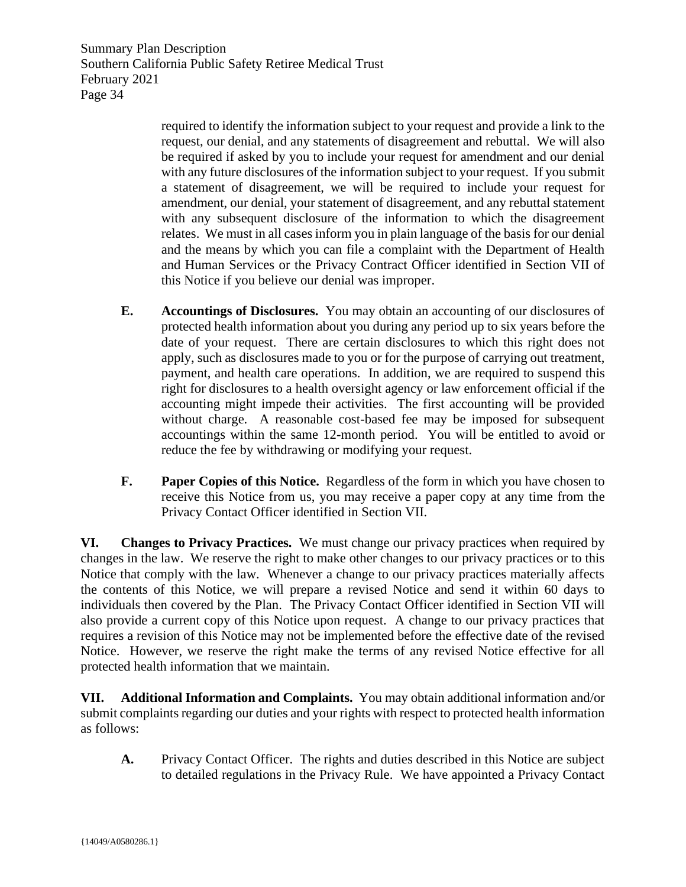> required to identify the information subject to your request and provide a link to the request, our denial, and any statements of disagreement and rebuttal. We will also be required if asked by you to include your request for amendment and our denial with any future disclosures of the information subject to your request. If you submit a statement of disagreement, we will be required to include your request for amendment, our denial, your statement of disagreement, and any rebuttal statement with any subsequent disclosure of the information to which the disagreement relates. We must in all cases inform you in plain language of the basis for our denial and the means by which you can file a complaint with the Department of Health and Human Services or the Privacy Contract Officer identified in Section VII of this Notice if you believe our denial was improper.

- **E. Accountings of Disclosures.** You may obtain an accounting of our disclosures of protected health information about you during any period up to six years before the date of your request. There are certain disclosures to which this right does not apply, such as disclosures made to you or for the purpose of carrying out treatment, payment, and health care operations. In addition, we are required to suspend this right for disclosures to a health oversight agency or law enforcement official if the accounting might impede their activities. The first accounting will be provided without charge. A reasonable cost-based fee may be imposed for subsequent accountings within the same 12-month period. You will be entitled to avoid or reduce the fee by withdrawing or modifying your request.
- **F. Paper Copies of this Notice.** Regardless of the form in which you have chosen to receive this Notice from us, you may receive a paper copy at any time from the Privacy Contact Officer identified in Section VII.

**VI. Changes to Privacy Practices.** We must change our privacy practices when required by changes in the law. We reserve the right to make other changes to our privacy practices or to this Notice that comply with the law. Whenever a change to our privacy practices materially affects the contents of this Notice, we will prepare a revised Notice and send it within 60 days to individuals then covered by the Plan. The Privacy Contact Officer identified in Section VII will also provide a current copy of this Notice upon request. A change to our privacy practices that requires a revision of this Notice may not be implemented before the effective date of the revised Notice. However, we reserve the right make the terms of any revised Notice effective for all protected health information that we maintain.

**VII. Additional Information and Complaints.** You may obtain additional information and/or submit complaints regarding our duties and your rights with respect to protected health information as follows:

**A.** Privacy Contact Officer. The rights and duties described in this Notice are subject to detailed regulations in the Privacy Rule. We have appointed a Privacy Contact